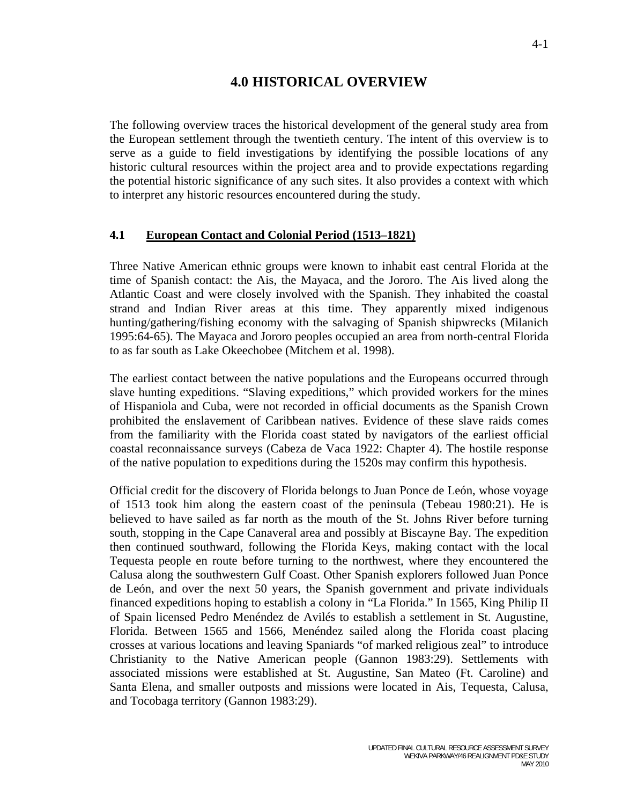# **4.0 HISTORICAL OVERVIEW**

The following overview traces the historical development of the general study area from the European settlement through the twentieth century. The intent of this overview is to serve as a guide to field investigations by identifying the possible locations of any historic cultural resources within the project area and to provide expectations regarding the potential historic significance of any such sites. It also provides a context with which to interpret any historic resources encountered during the study.

#### **4.1 European Contact and Colonial Period (1513–1821)**

Three Native American ethnic groups were known to inhabit east central Florida at the time of Spanish contact: the Ais, the Mayaca, and the Jororo. The Ais lived along the Atlantic Coast and were closely involved with the Spanish. They inhabited the coastal strand and Indian River areas at this time. They apparently mixed indigenous hunting/gathering/fishing economy with the salvaging of Spanish shipwrecks (Milanich 1995:64-65). The Mayaca and Jororo peoples occupied an area from north-central Florida to as far south as Lake Okeechobee (Mitchem et al. 1998).

The earliest contact between the native populations and the Europeans occurred through slave hunting expeditions. "Slaving expeditions," which provided workers for the mines of Hispaniola and Cuba, were not recorded in official documents as the Spanish Crown prohibited the enslavement of Caribbean natives. Evidence of these slave raids comes from the familiarity with the Florida coast stated by navigators of the earliest official coastal reconnaissance surveys (Cabeza de Vaca 1922: Chapter 4). The hostile response of the native population to expeditions during the 1520s may confirm this hypothesis.

Official credit for the discovery of Florida belongs to Juan Ponce de León, whose voyage of 1513 took him along the eastern coast of the peninsula (Tebeau 1980:21). He is believed to have sailed as far north as the mouth of the St. Johns River before turning south, stopping in the Cape Canaveral area and possibly at Biscayne Bay. The expedition then continued southward, following the Florida Keys, making contact with the local Tequesta people en route before turning to the northwest, where they encountered the Calusa along the southwestern Gulf Coast. Other Spanish explorers followed Juan Ponce de León, and over the next 50 years, the Spanish government and private individuals financed expeditions hoping to establish a colony in "La Florida." In 1565, King Philip II of Spain licensed Pedro Menéndez de Avilés to establish a settlement in St. Augustine, Florida. Between 1565 and 1566, Menéndez sailed along the Florida coast placing crosses at various locations and leaving Spaniards "of marked religious zeal" to introduce Christianity to the Native American people (Gannon 1983:29). Settlements with associated missions were established at St. Augustine, San Mateo (Ft. Caroline) and Santa Elena, and smaller outposts and missions were located in Ais, Tequesta, Calusa, and Tocobaga territory (Gannon 1983:29).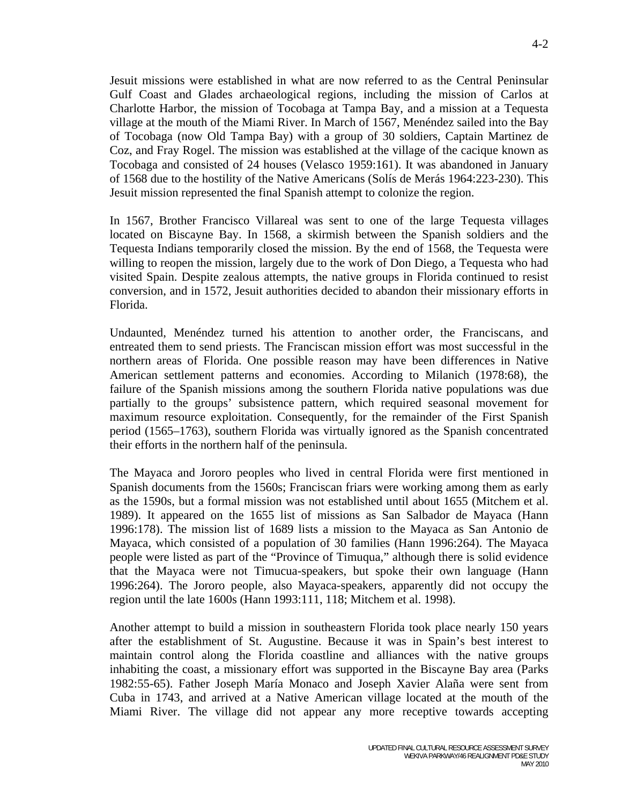Jesuit missions were established in what are now referred to as the Central Peninsular Gulf Coast and Glades archaeological regions, including the mission of Carlos at Charlotte Harbor, the mission of Tocobaga at Tampa Bay, and a mission at a Tequesta village at the mouth of the Miami River. In March of 1567, Menéndez sailed into the Bay of Tocobaga (now Old Tampa Bay) with a group of 30 soldiers, Captain Martinez de Coz, and Fray Rogel. The mission was established at the village of the cacique known as Tocobaga and consisted of 24 houses (Velasco 1959:161). It was abandoned in January of 1568 due to the hostility of the Native Americans (Solís de Merás 1964:223-230). This Jesuit mission represented the final Spanish attempt to colonize the region.

In 1567, Brother Francisco Villareal was sent to one of the large Tequesta villages located on Biscayne Bay. In 1568, a skirmish between the Spanish soldiers and the Tequesta Indians temporarily closed the mission. By the end of 1568, the Tequesta were willing to reopen the mission, largely due to the work of Don Diego, a Tequesta who had visited Spain. Despite zealous attempts, the native groups in Florida continued to resist conversion, and in 1572, Jesuit authorities decided to abandon their missionary efforts in Florida.

Undaunted, Menéndez turned his attention to another order, the Franciscans, and entreated them to send priests. The Franciscan mission effort was most successful in the northern areas of Florida. One possible reason may have been differences in Native American settlement patterns and economies. According to Milanich (1978:68), the failure of the Spanish missions among the southern Florida native populations was due partially to the groups' subsistence pattern, which required seasonal movement for maximum resource exploitation. Consequently, for the remainder of the First Spanish period (1565–1763), southern Florida was virtually ignored as the Spanish concentrated their efforts in the northern half of the peninsula.

The Mayaca and Jororo peoples who lived in central Florida were first mentioned in Spanish documents from the 1560s; Franciscan friars were working among them as early as the 1590s, but a formal mission was not established until about 1655 (Mitchem et al. 1989). It appeared on the 1655 list of missions as San Salbador de Mayaca (Hann 1996:178). The mission list of 1689 lists a mission to the Mayaca as San Antonio de Mayaca, which consisted of a population of 30 families (Hann 1996:264). The Mayaca people were listed as part of the "Province of Timuqua," although there is solid evidence that the Mayaca were not Timucua-speakers, but spoke their own language (Hann 1996:264). The Jororo people, also Mayaca-speakers, apparently did not occupy the region until the late 1600s (Hann 1993:111, 118; Mitchem et al. 1998).

Another attempt to build a mission in southeastern Florida took place nearly 150 years after the establishment of St. Augustine. Because it was in Spain's best interest to maintain control along the Florida coastline and alliances with the native groups inhabiting the coast, a missionary effort was supported in the Biscayne Bay area (Parks 1982:55-65). Father Joseph María Monaco and Joseph Xavier Alaña were sent from Cuba in 1743, and arrived at a Native American village located at the mouth of the Miami River. The village did not appear any more receptive towards accepting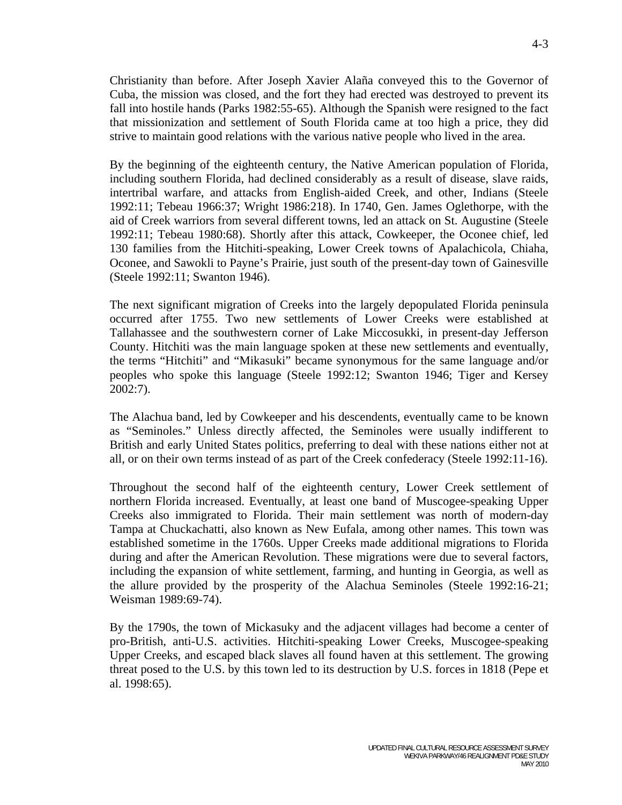Christianity than before. After Joseph Xavier Alaña conveyed this to the Governor of Cuba, the mission was closed, and the fort they had erected was destroyed to prevent its fall into hostile hands (Parks 1982:55-65). Although the Spanish were resigned to the fact that missionization and settlement of South Florida came at too high a price, they did strive to maintain good relations with the various native people who lived in the area.

By the beginning of the eighteenth century, the Native American population of Florida, including southern Florida, had declined considerably as a result of disease, slave raids, intertribal warfare, and attacks from English-aided Creek, and other, Indians (Steele 1992:11; Tebeau 1966:37; Wright 1986:218). In 1740, Gen. James Oglethorpe, with the aid of Creek warriors from several different towns, led an attack on St. Augustine (Steele 1992:11; Tebeau 1980:68). Shortly after this attack, Cowkeeper, the Oconee chief, led 130 families from the Hitchiti-speaking, Lower Creek towns of Apalachicola, Chiaha, Oconee, and Sawokli to Payne's Prairie, just south of the present-day town of Gainesville (Steele 1992:11; Swanton 1946).

The next significant migration of Creeks into the largely depopulated Florida peninsula occurred after 1755. Two new settlements of Lower Creeks were established at Tallahassee and the southwestern corner of Lake Miccosukki, in present-day Jefferson County. Hitchiti was the main language spoken at these new settlements and eventually, the terms "Hitchiti" and "Mikasuki" became synonymous for the same language and/or peoples who spoke this language (Steele 1992:12; Swanton 1946; Tiger and Kersey 2002:7).

The Alachua band, led by Cowkeeper and his descendents, eventually came to be known as "Seminoles." Unless directly affected, the Seminoles were usually indifferent to British and early United States politics, preferring to deal with these nations either not at all, or on their own terms instead of as part of the Creek confederacy (Steele 1992:11-16).

Throughout the second half of the eighteenth century, Lower Creek settlement of northern Florida increased. Eventually, at least one band of Muscogee-speaking Upper Creeks also immigrated to Florida. Their main settlement was north of modern-day Tampa at Chuckachatti, also known as New Eufala, among other names. This town was established sometime in the 1760s. Upper Creeks made additional migrations to Florida during and after the American Revolution. These migrations were due to several factors, including the expansion of white settlement, farming, and hunting in Georgia, as well as the allure provided by the prosperity of the Alachua Seminoles (Steele 1992:16-21; Weisman 1989:69-74).

By the 1790s, the town of Mickasuky and the adjacent villages had become a center of pro-British, anti-U.S. activities. Hitchiti-speaking Lower Creeks, Muscogee-speaking Upper Creeks, and escaped black slaves all found haven at this settlement. The growing threat posed to the U.S. by this town led to its destruction by U.S. forces in 1818 (Pepe et al. 1998:65).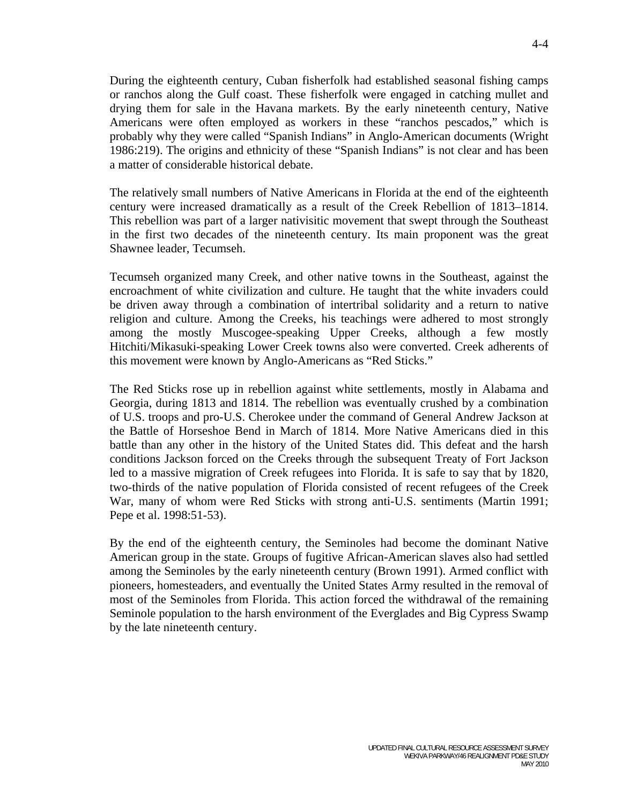During the eighteenth century, Cuban fisherfolk had established seasonal fishing camps or ranchos along the Gulf coast. These fisherfolk were engaged in catching mullet and drying them for sale in the Havana markets. By the early nineteenth century, Native Americans were often employed as workers in these "ranchos pescados," which is probably why they were called "Spanish Indians" in Anglo-American documents (Wright 1986:219). The origins and ethnicity of these "Spanish Indians" is not clear and has been a matter of considerable historical debate.

The relatively small numbers of Native Americans in Florida at the end of the eighteenth century were increased dramatically as a result of the Creek Rebellion of 1813–1814. This rebellion was part of a larger nativisitic movement that swept through the Southeast in the first two decades of the nineteenth century. Its main proponent was the great Shawnee leader, Tecumseh.

Tecumseh organized many Creek, and other native towns in the Southeast, against the encroachment of white civilization and culture. He taught that the white invaders could be driven away through a combination of intertribal solidarity and a return to native religion and culture. Among the Creeks, his teachings were adhered to most strongly among the mostly Muscogee-speaking Upper Creeks, although a few mostly Hitchiti/Mikasuki-speaking Lower Creek towns also were converted. Creek adherents of this movement were known by Anglo-Americans as "Red Sticks."

The Red Sticks rose up in rebellion against white settlements, mostly in Alabama and Georgia, during 1813 and 1814. The rebellion was eventually crushed by a combination of U.S. troops and pro-U.S. Cherokee under the command of General Andrew Jackson at the Battle of Horseshoe Bend in March of 1814. More Native Americans died in this battle than any other in the history of the United States did. This defeat and the harsh conditions Jackson forced on the Creeks through the subsequent Treaty of Fort Jackson led to a massive migration of Creek refugees into Florida. It is safe to say that by 1820, two-thirds of the native population of Florida consisted of recent refugees of the Creek War, many of whom were Red Sticks with strong anti-U.S. sentiments (Martin 1991; Pepe et al. 1998:51-53).

By the end of the eighteenth century, the Seminoles had become the dominant Native American group in the state. Groups of fugitive African-American slaves also had settled among the Seminoles by the early nineteenth century (Brown 1991). Armed conflict with pioneers, homesteaders, and eventually the United States Army resulted in the removal of most of the Seminoles from Florida. This action forced the withdrawal of the remaining Seminole population to the harsh environment of the Everglades and Big Cypress Swamp by the late nineteenth century.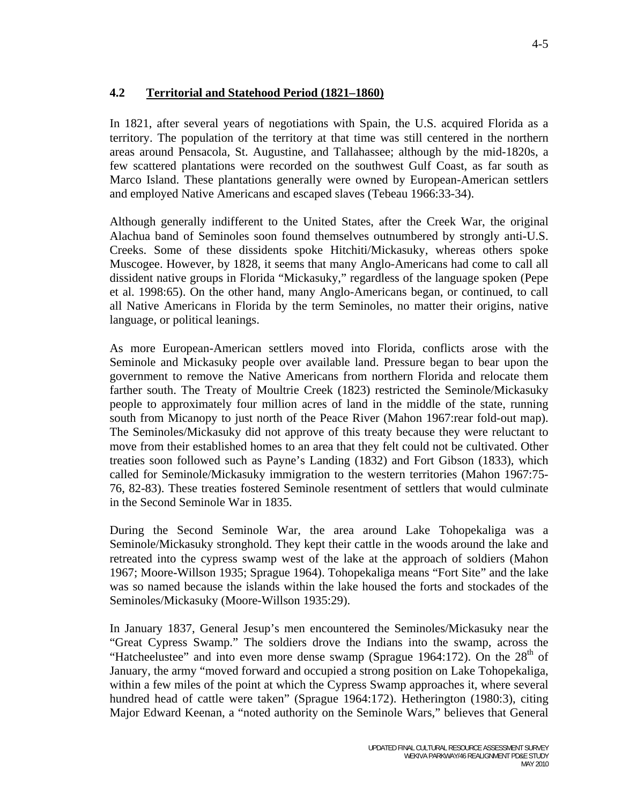## **4.2 Territorial and Statehood Period (1821–1860)**

In 1821, after several years of negotiations with Spain, the U.S. acquired Florida as a territory. The population of the territory at that time was still centered in the northern areas around Pensacola, St. Augustine, and Tallahassee; although by the mid-1820s, a few scattered plantations were recorded on the southwest Gulf Coast, as far south as Marco Island. These plantations generally were owned by European-American settlers and employed Native Americans and escaped slaves (Tebeau 1966:33-34).

Although generally indifferent to the United States, after the Creek War, the original Alachua band of Seminoles soon found themselves outnumbered by strongly anti-U.S. Creeks. Some of these dissidents spoke Hitchiti/Mickasuky, whereas others spoke Muscogee. However, by 1828, it seems that many Anglo-Americans had come to call all dissident native groups in Florida "Mickasuky," regardless of the language spoken (Pepe et al. 1998:65). On the other hand, many Anglo-Americans began, or continued, to call all Native Americans in Florida by the term Seminoles, no matter their origins, native language, or political leanings.

As more European-American settlers moved into Florida, conflicts arose with the Seminole and Mickasuky people over available land. Pressure began to bear upon the government to remove the Native Americans from northern Florida and relocate them farther south. The Treaty of Moultrie Creek (1823) restricted the Seminole/Mickasuky people to approximately four million acres of land in the middle of the state, running south from Micanopy to just north of the Peace River (Mahon 1967: rear fold-out map). The Seminoles/Mickasuky did not approve of this treaty because they were reluctant to move from their established homes to an area that they felt could not be cultivated. Other treaties soon followed such as Payne's Landing (1832) and Fort Gibson (1833), which called for Seminole/Mickasuky immigration to the western territories (Mahon 1967:75- 76, 82-83). These treaties fostered Seminole resentment of settlers that would culminate in the Second Seminole War in 1835.

During the Second Seminole War, the area around Lake Tohopekaliga was a Seminole/Mickasuky stronghold. They kept their cattle in the woods around the lake and retreated into the cypress swamp west of the lake at the approach of soldiers (Mahon 1967; Moore-Willson 1935; Sprague 1964). Tohopekaliga means "Fort Site" and the lake was so named because the islands within the lake housed the forts and stockades of the Seminoles/Mickasuky (Moore-Willson 1935:29).

In January 1837, General Jesup's men encountered the Seminoles/Mickasuky near the "Great Cypress Swamp." The soldiers drove the Indians into the swamp, across the "Hatcheelustee" and into even more dense swamp (Sprague 1964:172). On the  $28<sup>th</sup>$  of January, the army "moved forward and occupied a strong position on Lake Tohopekaliga, within a few miles of the point at which the Cypress Swamp approaches it, where several hundred head of cattle were taken" (Sprague 1964:172). Hetherington (1980:3), citing Major Edward Keenan, a "noted authority on the Seminole Wars," believes that General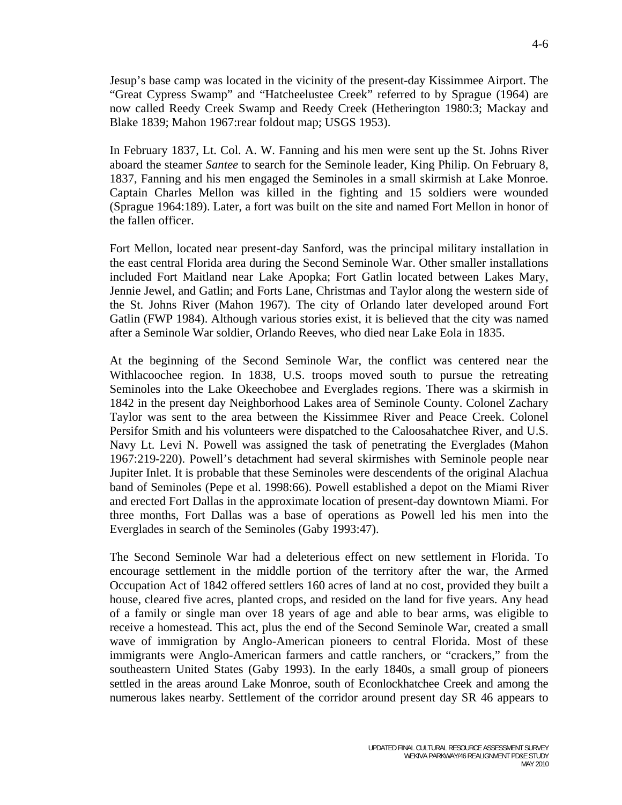Jesup's base camp was located in the vicinity of the present-day Kissimmee Airport. The "Great Cypress Swamp" and "Hatcheelustee Creek" referred to by Sprague (1964) are now called Reedy Creek Swamp and Reedy Creek (Hetherington 1980:3; Mackay and Blake 1839; Mahon 1967:rear foldout map; USGS 1953).

In February 1837, Lt. Col. A. W. Fanning and his men were sent up the St. Johns River aboard the steamer *Santee* to search for the Seminole leader, King Philip. On February 8, 1837, Fanning and his men engaged the Seminoles in a small skirmish at Lake Monroe. Captain Charles Mellon was killed in the fighting and 15 soldiers were wounded (Sprague 1964:189). Later, a fort was built on the site and named Fort Mellon in honor of the fallen officer.

Fort Mellon, located near present-day Sanford, was the principal military installation in the east central Florida area during the Second Seminole War. Other smaller installations included Fort Maitland near Lake Apopka; Fort Gatlin located between Lakes Mary, Jennie Jewel, and Gatlin; and Forts Lane, Christmas and Taylor along the western side of the St. Johns River (Mahon 1967). The city of Orlando later developed around Fort Gatlin (FWP 1984). Although various stories exist, it is believed that the city was named after a Seminole War soldier, Orlando Reeves, who died near Lake Eola in 1835.

At the beginning of the Second Seminole War, the conflict was centered near the Withlacoochee region. In 1838, U.S. troops moved south to pursue the retreating Seminoles into the Lake Okeechobee and Everglades regions. There was a skirmish in 1842 in the present day Neighborhood Lakes area of Seminole County. Colonel Zachary Taylor was sent to the area between the Kissimmee River and Peace Creek. Colonel Persifor Smith and his volunteers were dispatched to the Caloosahatchee River, and U.S. Navy Lt. Levi N. Powell was assigned the task of penetrating the Everglades (Mahon 1967:219-220). Powell's detachment had several skirmishes with Seminole people near Jupiter Inlet. It is probable that these Seminoles were descendents of the original Alachua band of Seminoles (Pepe et al. 1998:66). Powell established a depot on the Miami River and erected Fort Dallas in the approximate location of present-day downtown Miami. For three months, Fort Dallas was a base of operations as Powell led his men into the Everglades in search of the Seminoles (Gaby 1993:47).

The Second Seminole War had a deleterious effect on new settlement in Florida. To encourage settlement in the middle portion of the territory after the war, the Armed Occupation Act of 1842 offered settlers 160 acres of land at no cost, provided they built a house, cleared five acres, planted crops, and resided on the land for five years. Any head of a family or single man over 18 years of age and able to bear arms, was eligible to receive a homestead. This act, plus the end of the Second Seminole War, created a small wave of immigration by Anglo-American pioneers to central Florida. Most of these immigrants were Anglo-American farmers and cattle ranchers, or "crackers," from the southeastern United States (Gaby 1993). In the early 1840s, a small group of pioneers settled in the areas around Lake Monroe, south of Econlockhatchee Creek and among the numerous lakes nearby. Settlement of the corridor around present day SR 46 appears to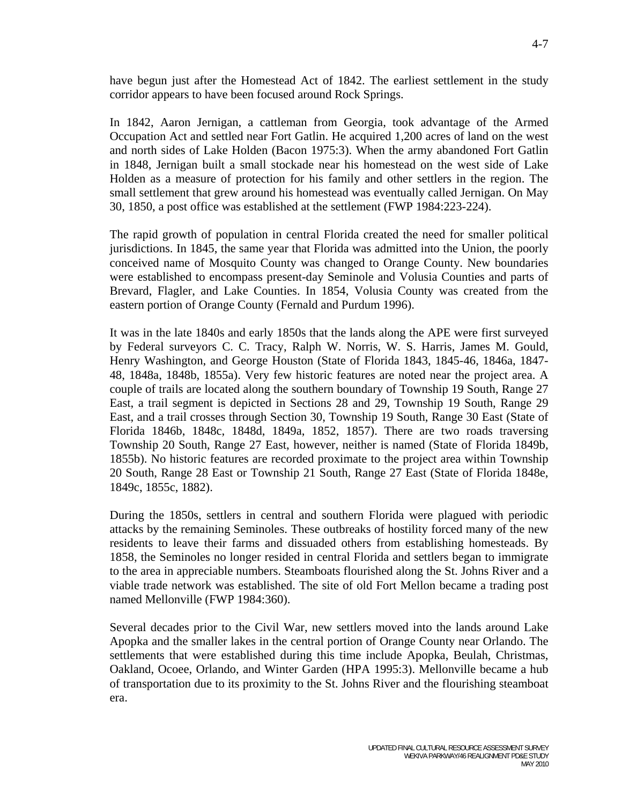have begun just after the Homestead Act of 1842. The earliest settlement in the study corridor appears to have been focused around Rock Springs.

In 1842, Aaron Jernigan, a cattleman from Georgia, took advantage of the Armed Occupation Act and settled near Fort Gatlin. He acquired 1,200 acres of land on the west and north sides of Lake Holden (Bacon 1975:3). When the army abandoned Fort Gatlin in 1848, Jernigan built a small stockade near his homestead on the west side of Lake Holden as a measure of protection for his family and other settlers in the region. The small settlement that grew around his homestead was eventually called Jernigan. On May 30, 1850, a post office was established at the settlement (FWP 1984:223-224).

The rapid growth of population in central Florida created the need for smaller political jurisdictions. In 1845, the same year that Florida was admitted into the Union, the poorly conceived name of Mosquito County was changed to Orange County. New boundaries were established to encompass present-day Seminole and Volusia Counties and parts of Brevard, Flagler, and Lake Counties. In 1854, Volusia County was created from the eastern portion of Orange County (Fernald and Purdum 1996).

It was in the late 1840s and early 1850s that the lands along the APE were first surveyed by Federal surveyors C. C. Tracy, Ralph W. Norris, W. S. Harris, James M. Gould, Henry Washington, and George Houston (State of Florida 1843, 1845-46, 1846a, 1847- 48, 1848a, 1848b, 1855a). Very few historic features are noted near the project area. A couple of trails are located along the southern boundary of Township 19 South, Range 27 East, a trail segment is depicted in Sections 28 and 29, Township 19 South, Range 29 East, and a trail crosses through Section 30, Township 19 South, Range 30 East (State of Florida 1846b, 1848c, 1848d, 1849a, 1852, 1857). There are two roads traversing Township 20 South, Range 27 East, however, neither is named (State of Florida 1849b, 1855b). No historic features are recorded proximate to the project area within Township 20 South, Range 28 East or Township 21 South, Range 27 East (State of Florida 1848e, 1849c, 1855c, 1882).

During the 1850s, settlers in central and southern Florida were plagued with periodic attacks by the remaining Seminoles. These outbreaks of hostility forced many of the new residents to leave their farms and dissuaded others from establishing homesteads. By 1858, the Seminoles no longer resided in central Florida and settlers began to immigrate to the area in appreciable numbers. Steamboats flourished along the St. Johns River and a viable trade network was established. The site of old Fort Mellon became a trading post named Mellonville (FWP 1984:360).

Several decades prior to the Civil War, new settlers moved into the lands around Lake Apopka and the smaller lakes in the central portion of Orange County near Orlando. The settlements that were established during this time include Apopka, Beulah, Christmas, Oakland, Ocoee, Orlando, and Winter Garden (HPA 1995:3). Mellonville became a hub of transportation due to its proximity to the St. Johns River and the flourishing steamboat era.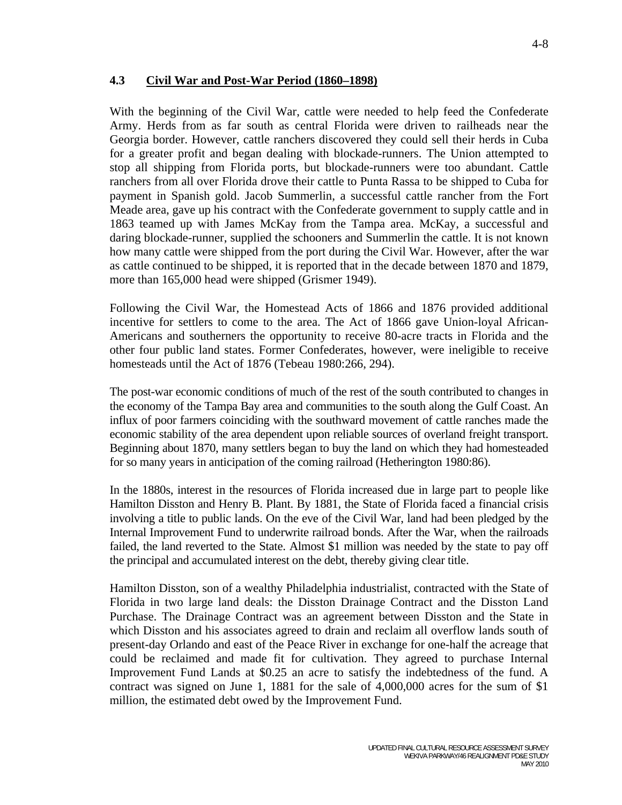#### **4.3 Civil War and Post-War Period (1860–1898)**

With the beginning of the Civil War, cattle were needed to help feed the Confederate Army. Herds from as far south as central Florida were driven to railheads near the Georgia border. However, cattle ranchers discovered they could sell their herds in Cuba for a greater profit and began dealing with blockade-runners. The Union attempted to stop all shipping from Florida ports, but blockade-runners were too abundant. Cattle ranchers from all over Florida drove their cattle to Punta Rassa to be shipped to Cuba for payment in Spanish gold. Jacob Summerlin, a successful cattle rancher from the Fort Meade area, gave up his contract with the Confederate government to supply cattle and in 1863 teamed up with James McKay from the Tampa area. McKay, a successful and daring blockade-runner, supplied the schooners and Summerlin the cattle. It is not known how many cattle were shipped from the port during the Civil War. However, after the war as cattle continued to be shipped, it is reported that in the decade between 1870 and 1879, more than 165,000 head were shipped (Grismer 1949).

Following the Civil War, the Homestead Acts of 1866 and 1876 provided additional incentive for settlers to come to the area. The Act of 1866 gave Union-loyal African-Americans and southerners the opportunity to receive 80-acre tracts in Florida and the other four public land states. Former Confederates, however, were ineligible to receive homesteads until the Act of 1876 (Tebeau 1980:266, 294).

The post-war economic conditions of much of the rest of the south contributed to changes in the economy of the Tampa Bay area and communities to the south along the Gulf Coast. An influx of poor farmers coinciding with the southward movement of cattle ranches made the economic stability of the area dependent upon reliable sources of overland freight transport. Beginning about 1870, many settlers began to buy the land on which they had homesteaded for so many years in anticipation of the coming railroad (Hetherington 1980:86).

In the 1880s, interest in the resources of Florida increased due in large part to people like Hamilton Disston and Henry B. Plant. By 1881, the State of Florida faced a financial crisis involving a title to public lands. On the eve of the Civil War, land had been pledged by the Internal Improvement Fund to underwrite railroad bonds. After the War, when the railroads failed, the land reverted to the State. Almost \$1 million was needed by the state to pay off the principal and accumulated interest on the debt, thereby giving clear title.

Hamilton Disston, son of a wealthy Philadelphia industrialist, contracted with the State of Florida in two large land deals: the Disston Drainage Contract and the Disston Land Purchase. The Drainage Contract was an agreement between Disston and the State in which Disston and his associates agreed to drain and reclaim all overflow lands south of present-day Orlando and east of the Peace River in exchange for one-half the acreage that could be reclaimed and made fit for cultivation. They agreed to purchase Internal Improvement Fund Lands at \$0.25 an acre to satisfy the indebtedness of the fund. A contract was signed on June 1, 1881 for the sale of 4,000,000 acres for the sum of \$1 million, the estimated debt owed by the Improvement Fund.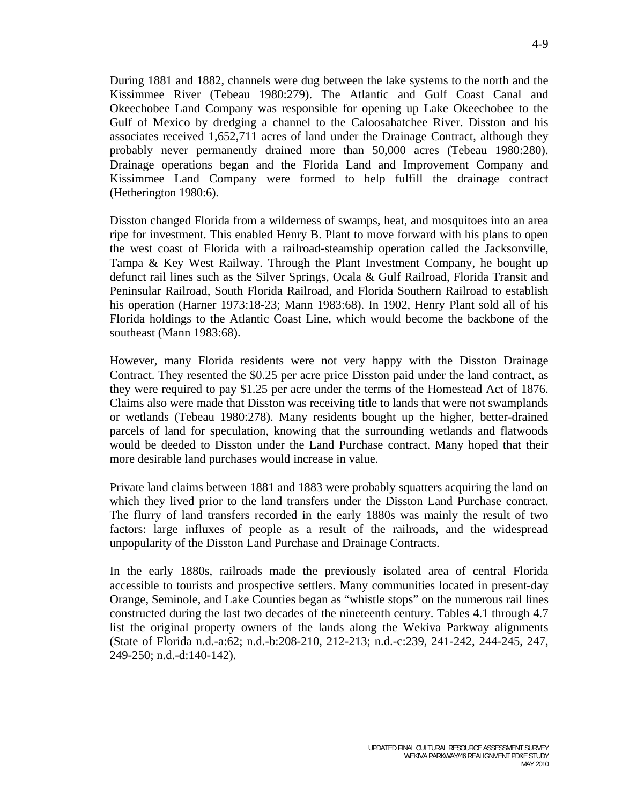During 1881 and 1882, channels were dug between the lake systems to the north and the Kissimmee River (Tebeau 1980:279). The Atlantic and Gulf Coast Canal and Okeechobee Land Company was responsible for opening up Lake Okeechobee to the Gulf of Mexico by dredging a channel to the Caloosahatchee River. Disston and his associates received 1,652,711 acres of land under the Drainage Contract, although they probably never permanently drained more than 50,000 acres (Tebeau 1980:280). Drainage operations began and the Florida Land and Improvement Company and Kissimmee Land Company were formed to help fulfill the drainage contract (Hetherington 1980:6).

Disston changed Florida from a wilderness of swamps, heat, and mosquitoes into an area ripe for investment. This enabled Henry B. Plant to move forward with his plans to open the west coast of Florida with a railroad-steamship operation called the Jacksonville, Tampa & Key West Railway. Through the Plant Investment Company, he bought up defunct rail lines such as the Silver Springs, Ocala & Gulf Railroad, Florida Transit and Peninsular Railroad, South Florida Railroad, and Florida Southern Railroad to establish his operation (Harner 1973:18-23; Mann 1983:68). In 1902, Henry Plant sold all of his Florida holdings to the Atlantic Coast Line, which would become the backbone of the southeast (Mann 1983:68).

However, many Florida residents were not very happy with the Disston Drainage Contract. They resented the \$0.25 per acre price Disston paid under the land contract, as they were required to pay \$1.25 per acre under the terms of the Homestead Act of 1876. Claims also were made that Disston was receiving title to lands that were not swamplands or wetlands (Tebeau 1980:278). Many residents bought up the higher, better-drained parcels of land for speculation, knowing that the surrounding wetlands and flatwoods would be deeded to Disston under the Land Purchase contract. Many hoped that their more desirable land purchases would increase in value.

Private land claims between 1881 and 1883 were probably squatters acquiring the land on which they lived prior to the land transfers under the Disston Land Purchase contract. The flurry of land transfers recorded in the early 1880s was mainly the result of two factors: large influxes of people as a result of the railroads, and the widespread unpopularity of the Disston Land Purchase and Drainage Contracts.

In the early 1880s, railroads made the previously isolated area of central Florida accessible to tourists and prospective settlers. Many communities located in present-day Orange, Seminole, and Lake Counties began as "whistle stops" on the numerous rail lines constructed during the last two decades of the nineteenth century. Tables 4.1 through 4.7 list the original property owners of the lands along the Wekiva Parkway alignments (State of Florida n.d.-a:62; n.d.-b:208-210, 212-213; n.d.-c:239, 241-242, 244-245, 247, 249-250; n.d.-d:140-142).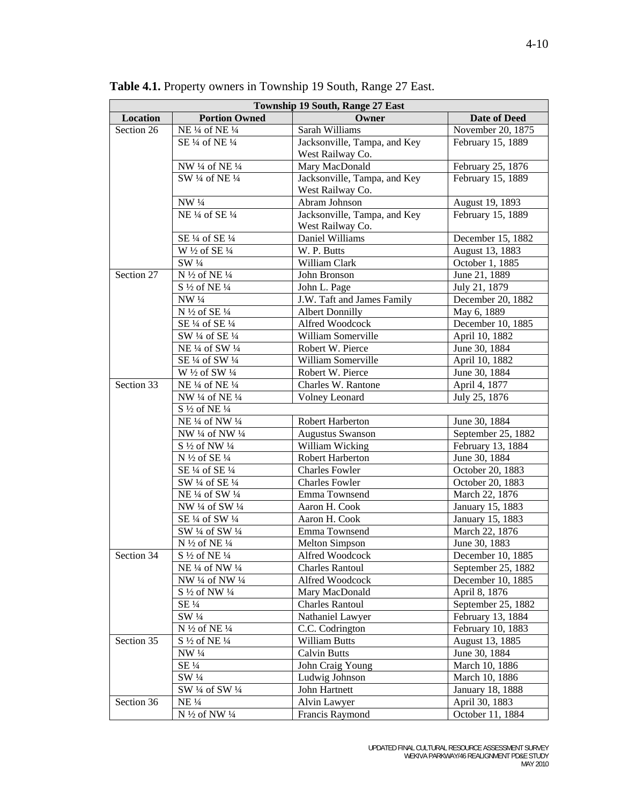| Owner<br>Location<br><b>Portion Owned</b><br><b>Date of Deed</b><br>Section 26<br>Sarah Williams<br>November 20, 1875<br>NE 1/4 of NE 1/4<br>Jacksonville, Tampa, and Key<br>February 15, 1889<br>SE 1/4 of NE 1/4<br>West Railway Co.<br>Mary MacDonald<br>NW 1/4 of NE 1/4<br>February 25, 1876<br>SW 1/4 of NE 1/4<br>Jacksonville, Tampa, and Key<br>February 15, 1889<br>West Railway Co.<br>NW 1/4<br>Abram Johnson<br>August 19, 1893<br>NE 1/4 of SE 1/4<br>February 15, 1889<br>Jacksonville, Tampa, and Key<br>West Railway Co.<br>SE 1/4 of SE 1/4<br>December 15, 1882<br>Daniel Williams<br>W 1/2 of SE 1/4<br>August 13, 1883<br>W. P. Butts<br>October 1, 1885<br>SW 1/4<br>William Clark<br>N 1/2 of NE 1/4<br>Section 27<br>John Bronson<br>June 21, 1889<br>S 1/2 of NE 1/4<br>John L. Page<br>July 21, 1879<br>J.W. Taft and James Family<br>December 20, 1882<br>NW 1/4<br>N 1/2 of SE 1/4<br><b>Albert Donnilly</b><br>May 6, 1889<br>December 10, 1885<br>SE 1/4 of SE 1/4<br>Alfred Woodcock<br>William Somerville<br>SW 1/4 of SE 1/4<br>April 10, 1882<br>NE 1/4 of SW 1/4<br>Robert W. Pierce<br>June 30, 1884<br>SE 1/4 of SW 1/4<br>William Somerville<br>April 10, 1882<br>Robert W. Pierce<br>June 30, 1884<br>W $\frac{1}{2}$ of SW $\frac{1}{4}$<br>Section 33<br>NE 1/4 of NE 1/4<br>Charles W. Rantone<br>April 4, 1877<br>Volney Leonard<br>July 25, 1876<br>NW 1/4 of NE 1/4<br>S 1/2 of NE 1/4<br>June 30, 1884<br>NE 1/4 of NW 1/4<br>Robert Harberton<br>September 25, 1882<br><b>Augustus Swanson</b><br>NW 1/4 of NW 1/4<br>William Wicking<br>S 1/2 of NW 1/4<br>February 13, 1884<br>Robert Harberton<br>N $\frac{1}{2}$ of SE $\frac{1}{4}$<br>June 30, 1884<br>SE 1/4 of SE 1/4<br><b>Charles Fowler</b><br>October 20, 1883<br>SW 1/4 of SE 1/4<br><b>Charles Fowler</b><br>October 20, 1883<br>NE 1/4 of SW 1/4<br>Emma Townsend<br>March 22, 1876<br>Aaron H. Cook<br>NW 1/4 of SW 1/4<br>January 15, 1883<br>SE 1/4 of SW 1/4<br>Aaron H. Cook<br>January 15, 1883<br>SW 1/4 of SW 1/4<br>Emma Townsend<br>March 22, 1876<br>N 1/2 of NE 1/4<br><b>Melton Simpson</b><br>June 30, 1883<br>Section 34<br>$S\frac{1}{2}$ of NE $\frac{1}{4}$<br>Alfred Woodcock<br>December 10, 1885<br>NE 1/4 of NW 1/4<br><b>Charles Rantoul</b><br>September 25, 1882<br>NW 1/4 of NW 1/4<br>Alfred Woodcock<br>December 10, 1885<br>$S\frac{1}{2}$ of NW $\frac{1}{4}$<br>Mary MacDonald<br>April 8, 1876<br>SE 1/4<br><b>Charles Rantoul</b><br>September 25, 1882<br>SW 1/4<br>Nathaniel Lawyer<br>February 13, 1884<br>N $\frac{1}{2}$ of NE $\frac{1}{4}$<br>C.C. Codrington<br>February 10, 1883<br>Section 35<br>S 1/2 of NE 1/4<br><b>William Butts</b><br>August 13, 1885<br>NW 1/4<br><b>Calvin Butts</b><br>June 30, 1884<br>$SE\frac{1}{4}$<br>John Craig Young<br>March 10, 1886<br>$SW\frac{1}{4}$<br>Ludwig Johnson<br>March 10, 1886<br>SW 1/4 of SW 1/4<br>John Hartnett<br>January 18, 1888<br>Section 36<br><b>NE</b> 1/4<br>Alvin Lawyer<br>April 30, 1883<br>N 1/2 of NW 1/4<br>Francis Raymond<br>October 11, 1884 | <b>Township 19 South, Range 27 East</b> |  |  |  |
|----------------------------------------------------------------------------------------------------------------------------------------------------------------------------------------------------------------------------------------------------------------------------------------------------------------------------------------------------------------------------------------------------------------------------------------------------------------------------------------------------------------------------------------------------------------------------------------------------------------------------------------------------------------------------------------------------------------------------------------------------------------------------------------------------------------------------------------------------------------------------------------------------------------------------------------------------------------------------------------------------------------------------------------------------------------------------------------------------------------------------------------------------------------------------------------------------------------------------------------------------------------------------------------------------------------------------------------------------------------------------------------------------------------------------------------------------------------------------------------------------------------------------------------------------------------------------------------------------------------------------------------------------------------------------------------------------------------------------------------------------------------------------------------------------------------------------------------------------------------------------------------------------------------------------------------------------------------------------------------------------------------------------------------------------------------------------------------------------------------------------------------------------------------------------------------------------------------------------------------------------------------------------------------------------------------------------------------------------------------------------------------------------------------------------------------------------------------------------------------------------------------------------------------------------------------------------------------------------------------------------------------------------------------------------------------------------------------------------------------------------------------------------------------------------------------------------------------------------------------------------------------------------------------------------------------------------------------------------------------------------------------------------------------------------------------------------|-----------------------------------------|--|--|--|
|                                                                                                                                                                                                                                                                                                                                                                                                                                                                                                                                                                                                                                                                                                                                                                                                                                                                                                                                                                                                                                                                                                                                                                                                                                                                                                                                                                                                                                                                                                                                                                                                                                                                                                                                                                                                                                                                                                                                                                                                                                                                                                                                                                                                                                                                                                                                                                                                                                                                                                                                                                                                                                                                                                                                                                                                                                                                                                                                                                                                                                                                            |                                         |  |  |  |
|                                                                                                                                                                                                                                                                                                                                                                                                                                                                                                                                                                                                                                                                                                                                                                                                                                                                                                                                                                                                                                                                                                                                                                                                                                                                                                                                                                                                                                                                                                                                                                                                                                                                                                                                                                                                                                                                                                                                                                                                                                                                                                                                                                                                                                                                                                                                                                                                                                                                                                                                                                                                                                                                                                                                                                                                                                                                                                                                                                                                                                                                            |                                         |  |  |  |
|                                                                                                                                                                                                                                                                                                                                                                                                                                                                                                                                                                                                                                                                                                                                                                                                                                                                                                                                                                                                                                                                                                                                                                                                                                                                                                                                                                                                                                                                                                                                                                                                                                                                                                                                                                                                                                                                                                                                                                                                                                                                                                                                                                                                                                                                                                                                                                                                                                                                                                                                                                                                                                                                                                                                                                                                                                                                                                                                                                                                                                                                            |                                         |  |  |  |
|                                                                                                                                                                                                                                                                                                                                                                                                                                                                                                                                                                                                                                                                                                                                                                                                                                                                                                                                                                                                                                                                                                                                                                                                                                                                                                                                                                                                                                                                                                                                                                                                                                                                                                                                                                                                                                                                                                                                                                                                                                                                                                                                                                                                                                                                                                                                                                                                                                                                                                                                                                                                                                                                                                                                                                                                                                                                                                                                                                                                                                                                            |                                         |  |  |  |
|                                                                                                                                                                                                                                                                                                                                                                                                                                                                                                                                                                                                                                                                                                                                                                                                                                                                                                                                                                                                                                                                                                                                                                                                                                                                                                                                                                                                                                                                                                                                                                                                                                                                                                                                                                                                                                                                                                                                                                                                                                                                                                                                                                                                                                                                                                                                                                                                                                                                                                                                                                                                                                                                                                                                                                                                                                                                                                                                                                                                                                                                            |                                         |  |  |  |
|                                                                                                                                                                                                                                                                                                                                                                                                                                                                                                                                                                                                                                                                                                                                                                                                                                                                                                                                                                                                                                                                                                                                                                                                                                                                                                                                                                                                                                                                                                                                                                                                                                                                                                                                                                                                                                                                                                                                                                                                                                                                                                                                                                                                                                                                                                                                                                                                                                                                                                                                                                                                                                                                                                                                                                                                                                                                                                                                                                                                                                                                            |                                         |  |  |  |
|                                                                                                                                                                                                                                                                                                                                                                                                                                                                                                                                                                                                                                                                                                                                                                                                                                                                                                                                                                                                                                                                                                                                                                                                                                                                                                                                                                                                                                                                                                                                                                                                                                                                                                                                                                                                                                                                                                                                                                                                                                                                                                                                                                                                                                                                                                                                                                                                                                                                                                                                                                                                                                                                                                                                                                                                                                                                                                                                                                                                                                                                            |                                         |  |  |  |
|                                                                                                                                                                                                                                                                                                                                                                                                                                                                                                                                                                                                                                                                                                                                                                                                                                                                                                                                                                                                                                                                                                                                                                                                                                                                                                                                                                                                                                                                                                                                                                                                                                                                                                                                                                                                                                                                                                                                                                                                                                                                                                                                                                                                                                                                                                                                                                                                                                                                                                                                                                                                                                                                                                                                                                                                                                                                                                                                                                                                                                                                            |                                         |  |  |  |
|                                                                                                                                                                                                                                                                                                                                                                                                                                                                                                                                                                                                                                                                                                                                                                                                                                                                                                                                                                                                                                                                                                                                                                                                                                                                                                                                                                                                                                                                                                                                                                                                                                                                                                                                                                                                                                                                                                                                                                                                                                                                                                                                                                                                                                                                                                                                                                                                                                                                                                                                                                                                                                                                                                                                                                                                                                                                                                                                                                                                                                                                            |                                         |  |  |  |
|                                                                                                                                                                                                                                                                                                                                                                                                                                                                                                                                                                                                                                                                                                                                                                                                                                                                                                                                                                                                                                                                                                                                                                                                                                                                                                                                                                                                                                                                                                                                                                                                                                                                                                                                                                                                                                                                                                                                                                                                                                                                                                                                                                                                                                                                                                                                                                                                                                                                                                                                                                                                                                                                                                                                                                                                                                                                                                                                                                                                                                                                            |                                         |  |  |  |
|                                                                                                                                                                                                                                                                                                                                                                                                                                                                                                                                                                                                                                                                                                                                                                                                                                                                                                                                                                                                                                                                                                                                                                                                                                                                                                                                                                                                                                                                                                                                                                                                                                                                                                                                                                                                                                                                                                                                                                                                                                                                                                                                                                                                                                                                                                                                                                                                                                                                                                                                                                                                                                                                                                                                                                                                                                                                                                                                                                                                                                                                            |                                         |  |  |  |
|                                                                                                                                                                                                                                                                                                                                                                                                                                                                                                                                                                                                                                                                                                                                                                                                                                                                                                                                                                                                                                                                                                                                                                                                                                                                                                                                                                                                                                                                                                                                                                                                                                                                                                                                                                                                                                                                                                                                                                                                                                                                                                                                                                                                                                                                                                                                                                                                                                                                                                                                                                                                                                                                                                                                                                                                                                                                                                                                                                                                                                                                            |                                         |  |  |  |
|                                                                                                                                                                                                                                                                                                                                                                                                                                                                                                                                                                                                                                                                                                                                                                                                                                                                                                                                                                                                                                                                                                                                                                                                                                                                                                                                                                                                                                                                                                                                                                                                                                                                                                                                                                                                                                                                                                                                                                                                                                                                                                                                                                                                                                                                                                                                                                                                                                                                                                                                                                                                                                                                                                                                                                                                                                                                                                                                                                                                                                                                            |                                         |  |  |  |
|                                                                                                                                                                                                                                                                                                                                                                                                                                                                                                                                                                                                                                                                                                                                                                                                                                                                                                                                                                                                                                                                                                                                                                                                                                                                                                                                                                                                                                                                                                                                                                                                                                                                                                                                                                                                                                                                                                                                                                                                                                                                                                                                                                                                                                                                                                                                                                                                                                                                                                                                                                                                                                                                                                                                                                                                                                                                                                                                                                                                                                                                            |                                         |  |  |  |
|                                                                                                                                                                                                                                                                                                                                                                                                                                                                                                                                                                                                                                                                                                                                                                                                                                                                                                                                                                                                                                                                                                                                                                                                                                                                                                                                                                                                                                                                                                                                                                                                                                                                                                                                                                                                                                                                                                                                                                                                                                                                                                                                                                                                                                                                                                                                                                                                                                                                                                                                                                                                                                                                                                                                                                                                                                                                                                                                                                                                                                                                            |                                         |  |  |  |
|                                                                                                                                                                                                                                                                                                                                                                                                                                                                                                                                                                                                                                                                                                                                                                                                                                                                                                                                                                                                                                                                                                                                                                                                                                                                                                                                                                                                                                                                                                                                                                                                                                                                                                                                                                                                                                                                                                                                                                                                                                                                                                                                                                                                                                                                                                                                                                                                                                                                                                                                                                                                                                                                                                                                                                                                                                                                                                                                                                                                                                                                            |                                         |  |  |  |
|                                                                                                                                                                                                                                                                                                                                                                                                                                                                                                                                                                                                                                                                                                                                                                                                                                                                                                                                                                                                                                                                                                                                                                                                                                                                                                                                                                                                                                                                                                                                                                                                                                                                                                                                                                                                                                                                                                                                                                                                                                                                                                                                                                                                                                                                                                                                                                                                                                                                                                                                                                                                                                                                                                                                                                                                                                                                                                                                                                                                                                                                            |                                         |  |  |  |
|                                                                                                                                                                                                                                                                                                                                                                                                                                                                                                                                                                                                                                                                                                                                                                                                                                                                                                                                                                                                                                                                                                                                                                                                                                                                                                                                                                                                                                                                                                                                                                                                                                                                                                                                                                                                                                                                                                                                                                                                                                                                                                                                                                                                                                                                                                                                                                                                                                                                                                                                                                                                                                                                                                                                                                                                                                                                                                                                                                                                                                                                            |                                         |  |  |  |
|                                                                                                                                                                                                                                                                                                                                                                                                                                                                                                                                                                                                                                                                                                                                                                                                                                                                                                                                                                                                                                                                                                                                                                                                                                                                                                                                                                                                                                                                                                                                                                                                                                                                                                                                                                                                                                                                                                                                                                                                                                                                                                                                                                                                                                                                                                                                                                                                                                                                                                                                                                                                                                                                                                                                                                                                                                                                                                                                                                                                                                                                            |                                         |  |  |  |
|                                                                                                                                                                                                                                                                                                                                                                                                                                                                                                                                                                                                                                                                                                                                                                                                                                                                                                                                                                                                                                                                                                                                                                                                                                                                                                                                                                                                                                                                                                                                                                                                                                                                                                                                                                                                                                                                                                                                                                                                                                                                                                                                                                                                                                                                                                                                                                                                                                                                                                                                                                                                                                                                                                                                                                                                                                                                                                                                                                                                                                                                            |                                         |  |  |  |
|                                                                                                                                                                                                                                                                                                                                                                                                                                                                                                                                                                                                                                                                                                                                                                                                                                                                                                                                                                                                                                                                                                                                                                                                                                                                                                                                                                                                                                                                                                                                                                                                                                                                                                                                                                                                                                                                                                                                                                                                                                                                                                                                                                                                                                                                                                                                                                                                                                                                                                                                                                                                                                                                                                                                                                                                                                                                                                                                                                                                                                                                            |                                         |  |  |  |
|                                                                                                                                                                                                                                                                                                                                                                                                                                                                                                                                                                                                                                                                                                                                                                                                                                                                                                                                                                                                                                                                                                                                                                                                                                                                                                                                                                                                                                                                                                                                                                                                                                                                                                                                                                                                                                                                                                                                                                                                                                                                                                                                                                                                                                                                                                                                                                                                                                                                                                                                                                                                                                                                                                                                                                                                                                                                                                                                                                                                                                                                            |                                         |  |  |  |
|                                                                                                                                                                                                                                                                                                                                                                                                                                                                                                                                                                                                                                                                                                                                                                                                                                                                                                                                                                                                                                                                                                                                                                                                                                                                                                                                                                                                                                                                                                                                                                                                                                                                                                                                                                                                                                                                                                                                                                                                                                                                                                                                                                                                                                                                                                                                                                                                                                                                                                                                                                                                                                                                                                                                                                                                                                                                                                                                                                                                                                                                            |                                         |  |  |  |
|                                                                                                                                                                                                                                                                                                                                                                                                                                                                                                                                                                                                                                                                                                                                                                                                                                                                                                                                                                                                                                                                                                                                                                                                                                                                                                                                                                                                                                                                                                                                                                                                                                                                                                                                                                                                                                                                                                                                                                                                                                                                                                                                                                                                                                                                                                                                                                                                                                                                                                                                                                                                                                                                                                                                                                                                                                                                                                                                                                                                                                                                            |                                         |  |  |  |
|                                                                                                                                                                                                                                                                                                                                                                                                                                                                                                                                                                                                                                                                                                                                                                                                                                                                                                                                                                                                                                                                                                                                                                                                                                                                                                                                                                                                                                                                                                                                                                                                                                                                                                                                                                                                                                                                                                                                                                                                                                                                                                                                                                                                                                                                                                                                                                                                                                                                                                                                                                                                                                                                                                                                                                                                                                                                                                                                                                                                                                                                            |                                         |  |  |  |
|                                                                                                                                                                                                                                                                                                                                                                                                                                                                                                                                                                                                                                                                                                                                                                                                                                                                                                                                                                                                                                                                                                                                                                                                                                                                                                                                                                                                                                                                                                                                                                                                                                                                                                                                                                                                                                                                                                                                                                                                                                                                                                                                                                                                                                                                                                                                                                                                                                                                                                                                                                                                                                                                                                                                                                                                                                                                                                                                                                                                                                                                            |                                         |  |  |  |
|                                                                                                                                                                                                                                                                                                                                                                                                                                                                                                                                                                                                                                                                                                                                                                                                                                                                                                                                                                                                                                                                                                                                                                                                                                                                                                                                                                                                                                                                                                                                                                                                                                                                                                                                                                                                                                                                                                                                                                                                                                                                                                                                                                                                                                                                                                                                                                                                                                                                                                                                                                                                                                                                                                                                                                                                                                                                                                                                                                                                                                                                            |                                         |  |  |  |
|                                                                                                                                                                                                                                                                                                                                                                                                                                                                                                                                                                                                                                                                                                                                                                                                                                                                                                                                                                                                                                                                                                                                                                                                                                                                                                                                                                                                                                                                                                                                                                                                                                                                                                                                                                                                                                                                                                                                                                                                                                                                                                                                                                                                                                                                                                                                                                                                                                                                                                                                                                                                                                                                                                                                                                                                                                                                                                                                                                                                                                                                            |                                         |  |  |  |
|                                                                                                                                                                                                                                                                                                                                                                                                                                                                                                                                                                                                                                                                                                                                                                                                                                                                                                                                                                                                                                                                                                                                                                                                                                                                                                                                                                                                                                                                                                                                                                                                                                                                                                                                                                                                                                                                                                                                                                                                                                                                                                                                                                                                                                                                                                                                                                                                                                                                                                                                                                                                                                                                                                                                                                                                                                                                                                                                                                                                                                                                            |                                         |  |  |  |
|                                                                                                                                                                                                                                                                                                                                                                                                                                                                                                                                                                                                                                                                                                                                                                                                                                                                                                                                                                                                                                                                                                                                                                                                                                                                                                                                                                                                                                                                                                                                                                                                                                                                                                                                                                                                                                                                                                                                                                                                                                                                                                                                                                                                                                                                                                                                                                                                                                                                                                                                                                                                                                                                                                                                                                                                                                                                                                                                                                                                                                                                            |                                         |  |  |  |
|                                                                                                                                                                                                                                                                                                                                                                                                                                                                                                                                                                                                                                                                                                                                                                                                                                                                                                                                                                                                                                                                                                                                                                                                                                                                                                                                                                                                                                                                                                                                                                                                                                                                                                                                                                                                                                                                                                                                                                                                                                                                                                                                                                                                                                                                                                                                                                                                                                                                                                                                                                                                                                                                                                                                                                                                                                                                                                                                                                                                                                                                            |                                         |  |  |  |
|                                                                                                                                                                                                                                                                                                                                                                                                                                                                                                                                                                                                                                                                                                                                                                                                                                                                                                                                                                                                                                                                                                                                                                                                                                                                                                                                                                                                                                                                                                                                                                                                                                                                                                                                                                                                                                                                                                                                                                                                                                                                                                                                                                                                                                                                                                                                                                                                                                                                                                                                                                                                                                                                                                                                                                                                                                                                                                                                                                                                                                                                            |                                         |  |  |  |
|                                                                                                                                                                                                                                                                                                                                                                                                                                                                                                                                                                                                                                                                                                                                                                                                                                                                                                                                                                                                                                                                                                                                                                                                                                                                                                                                                                                                                                                                                                                                                                                                                                                                                                                                                                                                                                                                                                                                                                                                                                                                                                                                                                                                                                                                                                                                                                                                                                                                                                                                                                                                                                                                                                                                                                                                                                                                                                                                                                                                                                                                            |                                         |  |  |  |
|                                                                                                                                                                                                                                                                                                                                                                                                                                                                                                                                                                                                                                                                                                                                                                                                                                                                                                                                                                                                                                                                                                                                                                                                                                                                                                                                                                                                                                                                                                                                                                                                                                                                                                                                                                                                                                                                                                                                                                                                                                                                                                                                                                                                                                                                                                                                                                                                                                                                                                                                                                                                                                                                                                                                                                                                                                                                                                                                                                                                                                                                            |                                         |  |  |  |
|                                                                                                                                                                                                                                                                                                                                                                                                                                                                                                                                                                                                                                                                                                                                                                                                                                                                                                                                                                                                                                                                                                                                                                                                                                                                                                                                                                                                                                                                                                                                                                                                                                                                                                                                                                                                                                                                                                                                                                                                                                                                                                                                                                                                                                                                                                                                                                                                                                                                                                                                                                                                                                                                                                                                                                                                                                                                                                                                                                                                                                                                            |                                         |  |  |  |
|                                                                                                                                                                                                                                                                                                                                                                                                                                                                                                                                                                                                                                                                                                                                                                                                                                                                                                                                                                                                                                                                                                                                                                                                                                                                                                                                                                                                                                                                                                                                                                                                                                                                                                                                                                                                                                                                                                                                                                                                                                                                                                                                                                                                                                                                                                                                                                                                                                                                                                                                                                                                                                                                                                                                                                                                                                                                                                                                                                                                                                                                            |                                         |  |  |  |
|                                                                                                                                                                                                                                                                                                                                                                                                                                                                                                                                                                                                                                                                                                                                                                                                                                                                                                                                                                                                                                                                                                                                                                                                                                                                                                                                                                                                                                                                                                                                                                                                                                                                                                                                                                                                                                                                                                                                                                                                                                                                                                                                                                                                                                                                                                                                                                                                                                                                                                                                                                                                                                                                                                                                                                                                                                                                                                                                                                                                                                                                            |                                         |  |  |  |
|                                                                                                                                                                                                                                                                                                                                                                                                                                                                                                                                                                                                                                                                                                                                                                                                                                                                                                                                                                                                                                                                                                                                                                                                                                                                                                                                                                                                                                                                                                                                                                                                                                                                                                                                                                                                                                                                                                                                                                                                                                                                                                                                                                                                                                                                                                                                                                                                                                                                                                                                                                                                                                                                                                                                                                                                                                                                                                                                                                                                                                                                            |                                         |  |  |  |
|                                                                                                                                                                                                                                                                                                                                                                                                                                                                                                                                                                                                                                                                                                                                                                                                                                                                                                                                                                                                                                                                                                                                                                                                                                                                                                                                                                                                                                                                                                                                                                                                                                                                                                                                                                                                                                                                                                                                                                                                                                                                                                                                                                                                                                                                                                                                                                                                                                                                                                                                                                                                                                                                                                                                                                                                                                                                                                                                                                                                                                                                            |                                         |  |  |  |
|                                                                                                                                                                                                                                                                                                                                                                                                                                                                                                                                                                                                                                                                                                                                                                                                                                                                                                                                                                                                                                                                                                                                                                                                                                                                                                                                                                                                                                                                                                                                                                                                                                                                                                                                                                                                                                                                                                                                                                                                                                                                                                                                                                                                                                                                                                                                                                                                                                                                                                                                                                                                                                                                                                                                                                                                                                                                                                                                                                                                                                                                            |                                         |  |  |  |
|                                                                                                                                                                                                                                                                                                                                                                                                                                                                                                                                                                                                                                                                                                                                                                                                                                                                                                                                                                                                                                                                                                                                                                                                                                                                                                                                                                                                                                                                                                                                                                                                                                                                                                                                                                                                                                                                                                                                                                                                                                                                                                                                                                                                                                                                                                                                                                                                                                                                                                                                                                                                                                                                                                                                                                                                                                                                                                                                                                                                                                                                            |                                         |  |  |  |
|                                                                                                                                                                                                                                                                                                                                                                                                                                                                                                                                                                                                                                                                                                                                                                                                                                                                                                                                                                                                                                                                                                                                                                                                                                                                                                                                                                                                                                                                                                                                                                                                                                                                                                                                                                                                                                                                                                                                                                                                                                                                                                                                                                                                                                                                                                                                                                                                                                                                                                                                                                                                                                                                                                                                                                                                                                                                                                                                                                                                                                                                            |                                         |  |  |  |
|                                                                                                                                                                                                                                                                                                                                                                                                                                                                                                                                                                                                                                                                                                                                                                                                                                                                                                                                                                                                                                                                                                                                                                                                                                                                                                                                                                                                                                                                                                                                                                                                                                                                                                                                                                                                                                                                                                                                                                                                                                                                                                                                                                                                                                                                                                                                                                                                                                                                                                                                                                                                                                                                                                                                                                                                                                                                                                                                                                                                                                                                            |                                         |  |  |  |
|                                                                                                                                                                                                                                                                                                                                                                                                                                                                                                                                                                                                                                                                                                                                                                                                                                                                                                                                                                                                                                                                                                                                                                                                                                                                                                                                                                                                                                                                                                                                                                                                                                                                                                                                                                                                                                                                                                                                                                                                                                                                                                                                                                                                                                                                                                                                                                                                                                                                                                                                                                                                                                                                                                                                                                                                                                                                                                                                                                                                                                                                            |                                         |  |  |  |
|                                                                                                                                                                                                                                                                                                                                                                                                                                                                                                                                                                                                                                                                                                                                                                                                                                                                                                                                                                                                                                                                                                                                                                                                                                                                                                                                                                                                                                                                                                                                                                                                                                                                                                                                                                                                                                                                                                                                                                                                                                                                                                                                                                                                                                                                                                                                                                                                                                                                                                                                                                                                                                                                                                                                                                                                                                                                                                                                                                                                                                                                            |                                         |  |  |  |
|                                                                                                                                                                                                                                                                                                                                                                                                                                                                                                                                                                                                                                                                                                                                                                                                                                                                                                                                                                                                                                                                                                                                                                                                                                                                                                                                                                                                                                                                                                                                                                                                                                                                                                                                                                                                                                                                                                                                                                                                                                                                                                                                                                                                                                                                                                                                                                                                                                                                                                                                                                                                                                                                                                                                                                                                                                                                                                                                                                                                                                                                            |                                         |  |  |  |
|                                                                                                                                                                                                                                                                                                                                                                                                                                                                                                                                                                                                                                                                                                                                                                                                                                                                                                                                                                                                                                                                                                                                                                                                                                                                                                                                                                                                                                                                                                                                                                                                                                                                                                                                                                                                                                                                                                                                                                                                                                                                                                                                                                                                                                                                                                                                                                                                                                                                                                                                                                                                                                                                                                                                                                                                                                                                                                                                                                                                                                                                            |                                         |  |  |  |
|                                                                                                                                                                                                                                                                                                                                                                                                                                                                                                                                                                                                                                                                                                                                                                                                                                                                                                                                                                                                                                                                                                                                                                                                                                                                                                                                                                                                                                                                                                                                                                                                                                                                                                                                                                                                                                                                                                                                                                                                                                                                                                                                                                                                                                                                                                                                                                                                                                                                                                                                                                                                                                                                                                                                                                                                                                                                                                                                                                                                                                                                            |                                         |  |  |  |
|                                                                                                                                                                                                                                                                                                                                                                                                                                                                                                                                                                                                                                                                                                                                                                                                                                                                                                                                                                                                                                                                                                                                                                                                                                                                                                                                                                                                                                                                                                                                                                                                                                                                                                                                                                                                                                                                                                                                                                                                                                                                                                                                                                                                                                                                                                                                                                                                                                                                                                                                                                                                                                                                                                                                                                                                                                                                                                                                                                                                                                                                            |                                         |  |  |  |

**Table 4.1.** Property owners in Township 19 South, Range 27 East.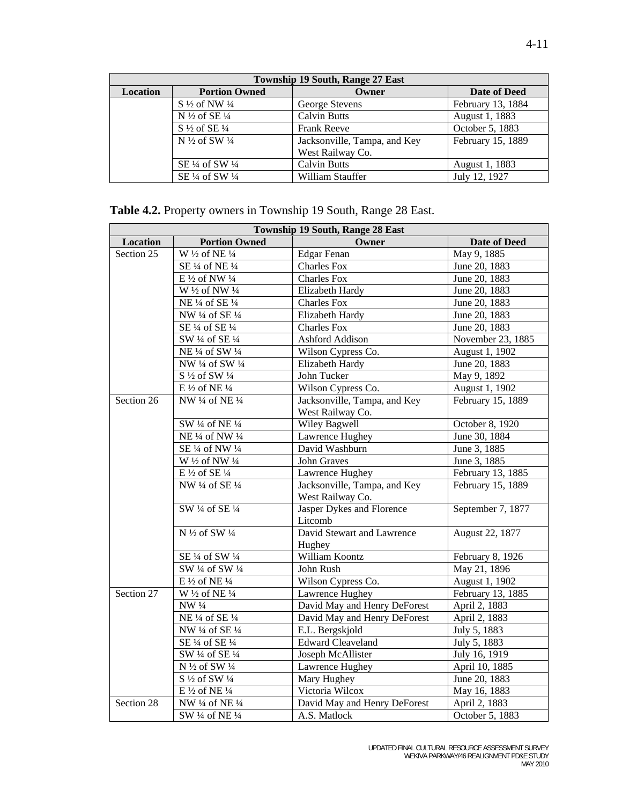| <b>Township 19 South, Range 27 East</b> |                                      |                              |                     |
|-----------------------------------------|--------------------------------------|------------------------------|---------------------|
| Location                                | <b>Portion Owned</b>                 | Owner                        | <b>Date of Deed</b> |
|                                         | $S\frac{1}{2}$ of NW $\frac{1}{4}$   | George Stevens               | February 13, 1884   |
|                                         | N $\frac{1}{2}$ of SE $\frac{1}{4}$  | <b>Calvin Butts</b>          | August 1, 1883      |
|                                         | $S\frac{1}{2}$ of SE $\frac{1}{4}$   | <b>Frank Reeve</b>           | October 5, 1883     |
|                                         | N $\frac{1}{2}$ of SW $\frac{1}{4}$  | Jacksonville, Tampa, and Key | February 15, 1889   |
|                                         |                                      | West Railway Co.             |                     |
|                                         | SE $\frac{1}{4}$ of SW $\frac{1}{4}$ | <b>Calvin Butts</b>          | August 1, 1883      |
|                                         | SE 1/4 of SW 1/4                     | William Stauffer             | July 12, 1927       |

# **Table 4.2.** Property owners in Township 19 South, Range 28 East.

| <b>Township 19 South, Range 28 East</b> |                                                                              |                              |                   |
|-----------------------------------------|------------------------------------------------------------------------------|------------------------------|-------------------|
| Location                                | <b>Portion Owned</b>                                                         | Owner                        | Date of Deed      |
| Section 25                              | $\overline{W}$ <sup>1</sup> / <sub>2</sub> of NE <sup>1</sup> / <sub>4</sub> | <b>Edgar Fenan</b>           | May 9, 1885       |
|                                         | SE 1/4 of NE 1/4                                                             | <b>Charles Fox</b>           | June 20, 1883     |
|                                         | E 1/2 of NW 1/4                                                              | <b>Charles Fox</b>           | June 20, 1883     |
|                                         | W 1/2 of NW 1/4                                                              | Elizabeth Hardy              | June 20, 1883     |
|                                         | NE 1/4 of SE 1/4                                                             | <b>Charles Fox</b>           | June 20, 1883     |
|                                         | NW 1/4 of SE 1/4                                                             | Elizabeth Hardy              | June 20, 1883     |
|                                         | SE 1/4 of SE 1/4                                                             | <b>Charles Fox</b>           | June 20, 1883     |
|                                         | SW 1/4 of SE 1/4                                                             | Ashford Addison              | November 23, 1885 |
|                                         | NE 1/4 of SW 1/4                                                             | Wilson Cypress Co.           | August 1, 1902    |
|                                         | NW $\frac{1}{4}$ of SW $\frac{1}{4}$                                         | Elizabeth Hardy              | June 20, 1883     |
|                                         | S $\frac{1}{2}$ of SW $\frac{1}{4}$                                          | John Tucker                  | May 9, 1892       |
|                                         | E $\frac{1}{2}$ of NE $\frac{1}{4}$                                          | Wilson Cypress Co.           | August 1, 1902    |
| Section 26                              | NW 1/4 of NE 1/4                                                             | Jacksonville, Tampa, and Key | February 15, 1889 |
|                                         |                                                                              | West Railway Co.             |                   |
|                                         | SW 1/4 of NE 1/4                                                             | <b>Wiley Bagwell</b>         | October 8, 1920   |
|                                         | NE 1/4 of NW 1/4                                                             | Lawrence Hughey              | June 30, 1884     |
|                                         | SE 1/4 of NW 1/4                                                             | David Washburn               | June 3, 1885      |
|                                         | W 1/2 of NW 1/4                                                              | <b>John Graves</b>           | June 3, 1885      |
|                                         | E $\frac{1}{2}$ of SE $\frac{1}{4}$                                          | Lawrence Hughey              | February 13, 1885 |
|                                         | NW 1/4 of SE 1/4                                                             | Jacksonville, Tampa, and Key | February 15, 1889 |
|                                         |                                                                              | West Railway Co.             |                   |
|                                         | SW 1/4 of SE 1/4                                                             | Jasper Dykes and Florence    | September 7, 1877 |
|                                         |                                                                              | Litcomb                      |                   |
|                                         | N 1/2 of SW 1/4                                                              | David Stewart and Lawrence   | August 22, 1877   |
|                                         |                                                                              | Hughey                       |                   |
|                                         | SE 1/4 of SW 1/4                                                             | William Koontz               | February 8, 1926  |
|                                         | SW 1/4 of SW 1/4                                                             | John Rush                    | May 21, 1896      |
|                                         | E 1/2 of NE 1/4                                                              | Wilson Cypress Co.           | August 1, 1902    |
| Section 27                              | W 1/2 of NE 1/4                                                              | Lawrence Hughey              | February 13, 1885 |
|                                         | NW 1/4                                                                       | David May and Henry DeForest | April 2, 1883     |
|                                         | NE 1/4 of SE 1/4                                                             | David May and Henry DeForest | April 2, 1883     |
|                                         | NW 1/4 of SE 1/4                                                             | E.L. Bergskjold              | July 5, 1883      |
|                                         | SE 1/4 of SE 1/4                                                             | <b>Edward Cleaveland</b>     | July 5, 1883      |
|                                         | SW 1/4 of SE 1/4                                                             | Joseph McAllister            | July 16, 1919     |
|                                         | N 1/2 of SW 1/4                                                              | Lawrence Hughey              | April 10, 1885    |
|                                         | S 1/2 of SW 1/4                                                              | Mary Hughey                  | June 20, 1883     |
|                                         | E 1/2 of NE 1/4                                                              | Victoria Wilcox              | May 16, 1883      |
| Section 28                              | NW 1/4 of NE 1/4                                                             | David May and Henry DeForest | April 2, 1883     |
|                                         | SW 1/4 of NE 1/4                                                             | A.S. Matlock                 | October 5, 1883   |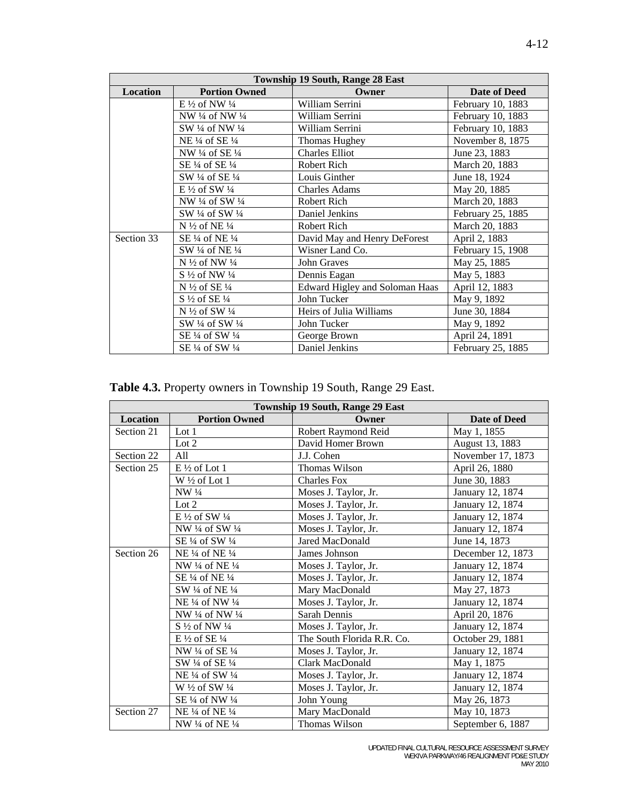| <b>Township 19 South, Range 28 East</b> |                                      |                                |                   |
|-----------------------------------------|--------------------------------------|--------------------------------|-------------------|
| Location                                | <b>Portion Owned</b>                 | Owner                          | Date of Deed      |
|                                         | E $\frac{1}{2}$ of NW $\frac{1}{4}$  | William Serrini                | February 10, 1883 |
|                                         | NW $\frac{1}{4}$ of NW $\frac{1}{4}$ | William Serrini                | February 10, 1883 |
|                                         | SW 1/4 of NW 1/4                     | William Serrini                | February 10, 1883 |
|                                         | NE $\frac{1}{4}$ of SE $\frac{1}{4}$ | Thomas Hughey                  | November 8, 1875  |
|                                         | NW $\frac{1}{4}$ of SE $\frac{1}{4}$ | <b>Charles Elliot</b>          | June 23, 1883     |
|                                         | SE $\frac{1}{4}$ of SE $\frac{1}{4}$ | Robert Rich                    | March 20, 1883    |
|                                         | SW 1/4 of SE 1/4                     | Louis Ginther                  | June 18, 1924     |
|                                         | $E\frac{1}{2}$ of SW $\frac{1}{4}$   | <b>Charles Adams</b>           | May 20, 1885      |
|                                         | NW $\frac{1}{4}$ of SW $\frac{1}{4}$ | Robert Rich                    | March 20, 1883    |
|                                         | SW 1/4 of SW 1/4                     | Daniel Jenkins                 | February 25, 1885 |
|                                         | N $\frac{1}{2}$ of NE $\frac{1}{4}$  | Robert Rich                    | March 20, 1883    |
| Section 33                              | SE 1/4 of NE 1/4                     | David May and Henry DeForest   | April 2, 1883     |
|                                         | SW 1/4 of NE 1/4                     | Wisner Land Co.                | February 15, 1908 |
|                                         | N 1/2 of NW 1/4                      | John Graves                    | May 25, 1885      |
|                                         | $S\frac{1}{2}$ of NW $\frac{1}{4}$   | Dennis Eagan                   | May 5, 1883       |
|                                         | N $\frac{1}{2}$ of SE $\frac{1}{4}$  | Edward Higley and Soloman Haas | April 12, 1883    |
|                                         | $S\frac{1}{2}$ of SE $\frac{1}{4}$   | John Tucker                    | May 9, 1892       |
|                                         | N 1/2 of SW 1/4                      | Heirs of Julia Williams        | June 30, 1884     |
|                                         | SW 1/4 of SW 1/4                     | John Tucker                    | May 9, 1892       |
|                                         | SE 1/4 of SW 1/4                     | George Brown                   | April 24, 1891    |
|                                         | SE 1/4 of SW 1/4                     | Daniel Jenkins                 | February 25, 1885 |

**Table 4.3.** Property owners in Township 19 South, Range 29 East.

|            | <b>Township 19 South, Range 29 East</b> |                            |                   |  |
|------------|-----------------------------------------|----------------------------|-------------------|--|
| Location   | <b>Portion Owned</b>                    | Owner                      | Date of Deed      |  |
| Section 21 | Lot $1$                                 | Robert Raymond Reid        | May 1, 1855       |  |
|            | Lot $2$                                 | David Homer Brown          | August 13, 1883   |  |
| Section 22 | All                                     | J.J. Cohen                 | November 17, 1873 |  |
| Section 25 | $E\frac{1}{2}$ of Lot 1                 | Thomas Wilson              | April 26, 1880    |  |
|            | W 1/2 of Lot 1                          | <b>Charles Fox</b>         | June 30, 1883     |  |
|            | $NW\frac{1}{4}$                         | Moses J. Taylor, Jr.       | January 12, 1874  |  |
|            | Lot $2$                                 | Moses J. Taylor, Jr.       | January 12, 1874  |  |
|            | E $\frac{1}{2}$ of SW $\frac{1}{4}$     | Moses J. Taylor, Jr.       | January 12, 1874  |  |
|            | NW 1/4 of SW 1/4                        | Moses J. Taylor, Jr.       | January 12, 1874  |  |
|            | SE $\frac{1}{4}$ of SW $\frac{1}{4}$    | Jared MacDonald            | June 14, 1873     |  |
| Section 26 | NE 1/4 of NE 1/4                        | James Johnson              | December 12, 1873 |  |
|            | NW 1/4 of NE 1/4                        | Moses J. Taylor, Jr.       | January 12, 1874  |  |
|            | SE $\frac{1}{4}$ of NE $\frac{1}{4}$    | Moses J. Taylor, Jr.       | January 12, 1874  |  |
|            | SW 1/4 of NE 1/4                        | Mary MacDonald             | May 27, 1873      |  |
|            | NE 1/4 of NW 1/4                        | Moses J. Taylor, Jr.       | January 12, 1874  |  |
|            | NW 1/4 of NW 1/4                        | Sarah Dennis               | April 20, 1876    |  |
|            | $S\frac{1}{2}$ of NW $\frac{1}{4}$      | Moses J. Taylor, Jr.       | January 12, 1874  |  |
|            | $E\frac{1}{2}$ of SE $\frac{1}{4}$      | The South Florida R.R. Co. | October 29, 1881  |  |
|            | NW 1/4 of SE 1/4                        | Moses J. Taylor, Jr.       | January 12, 1874  |  |
|            | SW 1/4 of SE 1/4                        | Clark MacDonald            | May 1, 1875       |  |
|            | NE 1/4 of SW 1/4                        | Moses J. Taylor, Jr.       | January 12, 1874  |  |
|            | W $\frac{1}{2}$ of SW $\frac{1}{4}$     | Moses J. Taylor, Jr.       | January 12, 1874  |  |
|            | SE 1/4 of NW 1/4                        | John Young                 | May 26, 1873      |  |
| Section 27 | NE 1/4 of NE 1/4                        | Mary MacDonald             | May 10, 1873      |  |
|            | NW 1/4 of NE 1/4                        | Thomas Wilson              | September 6, 1887 |  |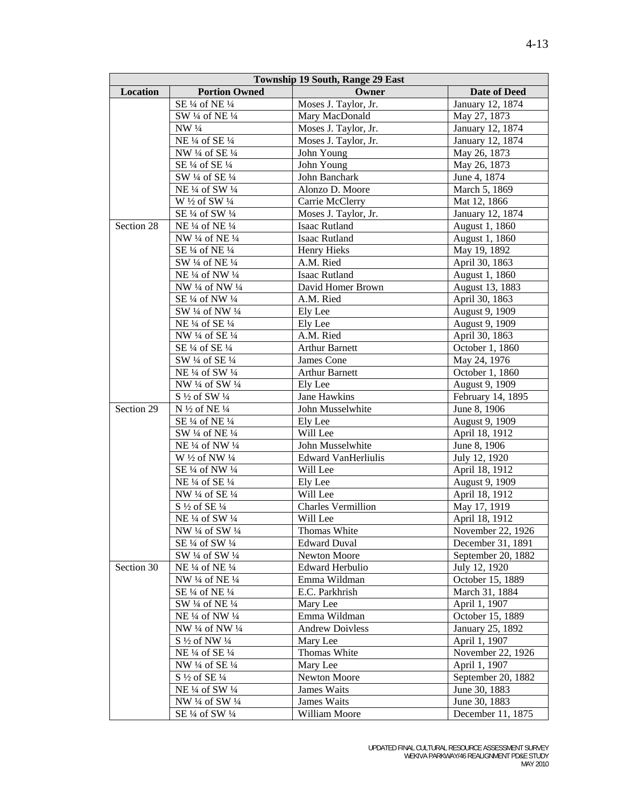| <b>Township 19 South, Range 29 East</b> |                                      |                            |                     |
|-----------------------------------------|--------------------------------------|----------------------------|---------------------|
| <b>Location</b>                         | <b>Portion Owned</b>                 | Owner                      | <b>Date of Deed</b> |
|                                         | SE 1/4 of NE 1/4                     | Moses J. Taylor, Jr.       | January 12, 1874    |
|                                         | SW 1/4 of NE 1/4                     | Mary MacDonald             | May 27, 1873        |
|                                         | NW 1/4                               | Moses J. Taylor, Jr.       | January 12, 1874    |
|                                         | NE 1/4 of SE 1/4                     | Moses J. Taylor, Jr.       | January 12, 1874    |
|                                         | NW 1/4 of SE 1/4                     | John Young                 | May 26, 1873        |
|                                         | SE 1/4 of SE 1/4                     | John Young                 | May 26, 1873        |
|                                         | SW 1/4 of SE 1/4                     | John Banchark              | June 4, 1874        |
|                                         | NE 1/4 of SW 1/4                     | Alonzo D. Moore            | March 5, 1869       |
|                                         | W 1/2 of SW 1/4                      | Carrie McClerry            | Mat 12, 1866        |
|                                         | SE 1/4 of SW 1/4                     | Moses J. Taylor, Jr.       | January 12, 1874    |
| Section 28                              | NE 1/4 of NE 1/4                     | Isaac Rutland              | August 1, 1860      |
|                                         | NW 1/4 of NE 1/4                     | <b>Isaac Rutland</b>       | August 1, 1860      |
|                                         | SE 1/4 of NE 1/4                     | Henry Hieks                | May 19, 1892        |
|                                         | SW 1/4 of NE 1/4                     | A.M. Ried                  | April 30, 1863      |
|                                         | NE 1/4 of NW 1/4                     | Isaac Rutland              | August 1, 1860      |
|                                         | NW 1/4 of NW 1/4                     | David Homer Brown          | August 13, 1883     |
|                                         | SE 1/4 of NW 1/4                     | A.M. Ried                  | April 30, 1863      |
|                                         | SW 1/4 of NW 1/4                     | Ely Lee                    | August 9, 1909      |
|                                         | NE 1/4 of SE 1/4                     | Ely Lee                    | August 9, 1909      |
|                                         | NW 1/4 of SE 1/4                     | A.M. Ried                  | April 30, 1863      |
|                                         | SE 1/4 of SE 1/4                     | <b>Arthur Barnett</b>      | October 1, 1860     |
|                                         | SW 1/4 of SE 1/4                     | James Cone                 | May 24, 1976        |
|                                         | NE 1/4 of SW 1/4                     | <b>Arthur Barnett</b>      | October 1, 1860     |
|                                         | NW 1/4 of SW 1/4                     | Ely Lee                    | August 9, 1909      |
|                                         | $S\frac{1}{2}$ of SW $\frac{1}{4}$   | Jane Hawkins               | February 14, 1895   |
| Section 29                              | N $\frac{1}{2}$ of NE $\frac{1}{4}$  | John Musselwhite           | June 8, 1906        |
|                                         | SE 1/4 of NE 1/4                     | Ely Lee                    | August 9, 1909      |
|                                         | SW 1/4 of NE 1/4                     | Will Lee                   | April 18, 1912      |
|                                         | NE 1/4 of NW 1/4                     | John Musselwhite           | June 8, 1906        |
|                                         | W 1/2 of NW 1/4                      | <b>Edward VanHerliulis</b> | July 12, 1920       |
|                                         | SE 1/4 of NW 1/4                     | Will Lee                   | April 18, 1912      |
|                                         | NE 1/4 of SE 1/4                     | Ely Lee                    | August 9, 1909      |
|                                         | NW 1/4 of SE 1/4                     | Will Lee                   | April 18, 1912      |
|                                         | $S\frac{1}{2}$ of SE $\frac{1}{4}$   | Charles Vermillion         | May 17, 1919        |
|                                         | NE 1/4 of SW 1/4                     | Will Lee                   | April 18, 1912      |
|                                         | NW 1/4 of SW 1/4                     | Thomas White               | November 22, 1926   |
|                                         | SE $\frac{1}{4}$ of SW $\frac{1}{4}$ | <b>Edward Duval</b>        | December 31, 1891   |
|                                         | SW 1/4 of SW 1/4                     | Newton Moore               | September 20, 1882  |
| Section 30                              | NE 1/4 of NE 1/4                     | Edward Herbulio            | July 12, 1920       |
|                                         | NW 1/4 of NE 1/4                     | Emma Wildman               | October 15, 1889    |
|                                         | SE 1/4 of NE 1/4                     | E.C. Parkhrish             | March 31, 1884      |
|                                         | SW 1/4 of NE 1/4                     | Mary Lee                   | April 1, 1907       |
|                                         | NE 1/4 of NW 1/4                     | Emma Wildman               | October 15, 1889    |
|                                         | NW 1/4 of NW 1/4                     | <b>Andrew Doivless</b>     | January 25, 1892    |
|                                         | $S\frac{1}{2}$ of NW $\frac{1}{4}$   | Mary Lee                   | April 1, 1907       |
|                                         | NE 1/4 of SE 1/4                     | Thomas White               | November 22, 1926   |
|                                         | NW 1/4 of SE 1/4                     | Mary Lee                   | April 1, 1907       |
|                                         | $S\frac{1}{2}$ of $SE\frac{1}{4}$    | Newton Moore               | September 20, 1882  |
|                                         | NE 1/4 of SW 1/4                     | James Waits                | June 30, 1883       |
|                                         | NW 1/4 of SW 1/4                     | James Waits                | June 30, 1883       |
|                                         | SE 1/4 of SW 1/4                     | William Moore              | December 11, 1875   |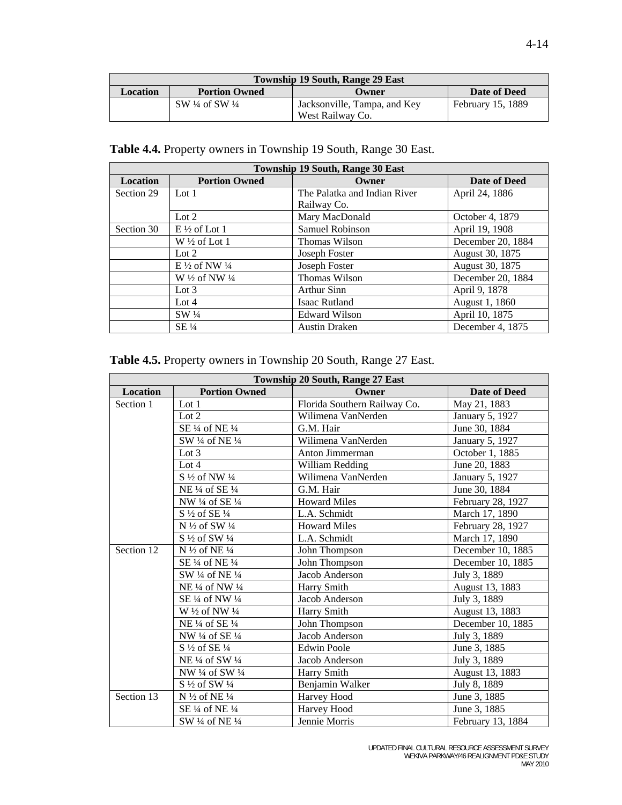| <b>Township 19 South, Range 29 East</b>                          |                                      |                                                  |                   |
|------------------------------------------------------------------|--------------------------------------|--------------------------------------------------|-------------------|
| <b>Portion Owned</b><br><b>Location</b><br>Date of Deed<br>Owner |                                      |                                                  |                   |
|                                                                  | SW $\frac{1}{4}$ of SW $\frac{1}{4}$ | Jacksonville, Tampa, and Key<br>West Railway Co. | February 15, 1889 |

## **Table 4.4.** Property owners in Township 19 South, Range 30 East.

| <b>Township 19 South, Range 30 East</b> |                                     |                              |                   |  |
|-----------------------------------------|-------------------------------------|------------------------------|-------------------|--|
| <b>Location</b>                         | <b>Portion Owned</b>                | Owner                        | Date of Deed      |  |
| Section 29                              | Lot $1$                             | The Palatka and Indian River | April 24, 1886    |  |
|                                         |                                     | Railway Co.                  |                   |  |
|                                         | Lot $2$                             | Mary MacDonald               | October 4, 1879   |  |
| Section 30                              | $E\frac{1}{2}$ of Lot 1             | Samuel Robinson              | April 19, 1908    |  |
|                                         | $W\frac{1}{2}$ of Lot 1             | Thomas Wilson                | December 20, 1884 |  |
|                                         | Lot $2$                             | Joseph Foster                | August 30, 1875   |  |
|                                         | E $\frac{1}{2}$ of NW $\frac{1}{4}$ | Joseph Foster                | August 30, 1875   |  |
|                                         | W $\frac{1}{2}$ of NW $\frac{1}{4}$ | Thomas Wilson                | December 20, 1884 |  |
|                                         | Lot $3$                             | Arthur Sinn                  | April 9, 1878     |  |
|                                         | Lot $4$                             | Isaac Rutland                | August 1, 1860    |  |
|                                         | $SW\frac{1}{4}$                     | <b>Edward Wilson</b>         | April 10, 1875    |  |
|                                         | $SE\frac{1}{4}$                     | <b>Austin Draken</b>         | December 4, 1875  |  |

## **Table 4.5.** Property owners in Township 20 South, Range 27 East.

| Township 20 South, Range 27 East |                                                                  |                              |                   |
|----------------------------------|------------------------------------------------------------------|------------------------------|-------------------|
| <b>Location</b>                  | <b>Portion Owned</b>                                             | Owner                        | Date of Deed      |
| Section 1                        | Lot $1$                                                          | Florida Southern Railway Co. | May 21, 1883      |
|                                  | Lot $2$                                                          | Wilimena VanNerden           | January 5, 1927   |
|                                  | SE 1/4 of NE 1/4                                                 | G.M. Hair                    | June 30, 1884     |
|                                  | SW 1/4 of NE 1/4                                                 | Wilimena VanNerden           | January 5, 1927   |
|                                  | Lot $3$                                                          | Anton Jimmerman              | October 1, 1885   |
|                                  | Lot 4                                                            | William Redding              | June 20, 1883     |
|                                  | $S\frac{1}{2}$ of NW $\frac{1}{4}$                               | Wilimena VanNerden           | January 5, 1927   |
|                                  | NE 1/4 of SE 1/4                                                 | G.M. Hair                    | June 30, 1884     |
|                                  | NW 1/4 of SE 1/4                                                 | <b>Howard Miles</b>          | February 28, 1927 |
|                                  | S 1/2 of SE 1/4                                                  | L.A. Schmidt                 | March 17, 1890    |
|                                  | N $\frac{1}{2}$ of SW $\frac{1}{4}$                              | <b>Howard Miles</b>          | February 28, 1927 |
|                                  | $S\frac{1}{2}$ of SW $\frac{1}{4}$                               | L.A. Schmidt                 | March 17, 1890    |
| Section 12                       | N $\frac{1}{2}$ of NE $\frac{1}{4}$                              | John Thompson                | December 10, 1885 |
|                                  | SE $\frac{1}{4}$ of NE $\frac{1}{4}$                             | John Thompson                | December 10, 1885 |
|                                  | SW 1/4 of NE 1/4                                                 | Jacob Anderson               | July 3, 1889      |
|                                  | NE <sup>1</sup> / <sub>4</sub> of NW <sup>1</sup> / <sub>4</sub> | Harry Smith                  | August 13, 1883   |
|                                  | SE 1/4 of NW 1/4                                                 | Jacob Anderson               | July 3, 1889      |
|                                  | W $\frac{1}{2}$ of NW $\frac{1}{4}$                              | Harry Smith                  | August 13, 1883   |
|                                  | NE 1/4 of SE 1/4                                                 | John Thompson                | December 10, 1885 |
|                                  | NW 1/4 of SE 1/4                                                 | Jacob Anderson               | July 3, 1889      |
|                                  | $S\frac{1}{2}$ of SE $\frac{1}{4}$                               | <b>Edwin Poole</b>           | June 3, 1885      |
|                                  | NE 1/4 of SW 1/4                                                 | Jacob Anderson               | July 3, 1889      |
|                                  | NW 1/4 of SW 1/4                                                 | Harry Smith                  | August 13, 1883   |
|                                  | S 1/2 of SW 1/4                                                  | Benjamin Walker              | July 8, 1889      |
| Section 13                       | N $\frac{1}{2}$ of NE $\frac{1}{4}$                              | Harvey Hood                  | June 3, 1885      |
|                                  | SE $\frac{1}{4}$ of NE $\frac{1}{4}$                             | Harvey Hood                  | June 3, 1885      |
|                                  | SW 1/4 of NE 1/4                                                 | Jennie Morris                | February 13, 1884 |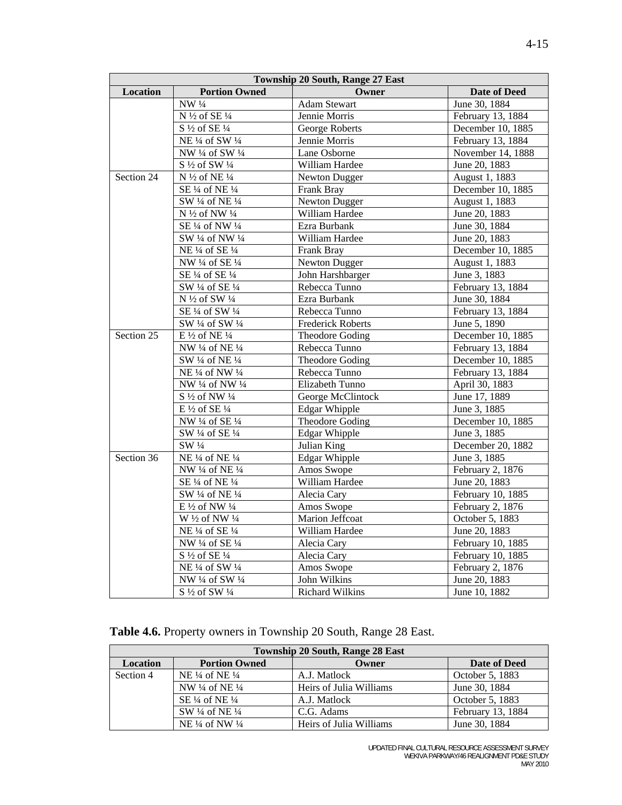| Township 20 South, Range 27 East |                                     |                          |                     |
|----------------------------------|-------------------------------------|--------------------------|---------------------|
| <b>Location</b>                  | <b>Portion Owned</b>                | Owner                    | <b>Date of Deed</b> |
|                                  | $NW\frac{1}{4}$                     | <b>Adam Stewart</b>      | June 30, 1884       |
|                                  | N 1/2 of SE 1/4                     | Jennie Morris            | February 13, 1884   |
|                                  | S 1/2 of SE 1/4                     | George Roberts           | December 10, 1885   |
|                                  | NE 1/4 of SW 1/4                    | Jennie Morris            | February 13, 1884   |
|                                  | NW 1/4 of SW 1/4                    | Lane Osborne             | November 14, 1888   |
|                                  | S 1/2 of SW 1/4                     | William Hardee           | June 20, 1883       |
| Section 24                       | N 1/2 of NE 1/4                     | Newton Dugger            | August 1, 1883      |
|                                  | SE 1/4 of NE 1/4                    | Frank Bray               | December 10, 1885   |
|                                  | SW 1/4 of NE 1/4                    | <b>Newton Dugger</b>     | August 1, 1883      |
|                                  | N 1/2 of NW 1/4                     | William Hardee           | June 20, 1883       |
|                                  | SE 1/4 of NW 1/4                    | Ezra Burbank             | June 30, 1884       |
|                                  | SW 1/4 of NW 1/4                    | William Hardee           | June 20, 1883       |
|                                  | NE 1/4 of SE 1/4                    | Frank Bray               | December 10, 1885   |
|                                  | NW 1/4 of SE 1/4                    | <b>Newton Dugger</b>     | August 1, 1883      |
|                                  | SE 1/4 of SE 1/4                    | John Harshbarger         | June 3, 1883        |
|                                  | SW 1/4 of SE 1/4                    | Rebecca Tunno            | February 13, 1884   |
|                                  | $\overline{N^{1/2}}$ of SW 1/4      | Ezra Burbank             | June 30, 1884       |
|                                  | SE 1/4 of SW 1/4                    | Rebecca Tunno            | February 13, 1884   |
|                                  | SW 1/4 of SW 1/4                    | <b>Frederick Roberts</b> | June 5, 1890        |
| Section 25                       | E $\frac{1}{2}$ of NE $\frac{1}{4}$ | Theodore Goding          | December 10, 1885   |
|                                  | NW 1/4 of NE 1/4                    | Rebecca Tunno            | February 13, 1884   |
|                                  | SW 1/4 of NE 1/4                    | Theodore Goding          | December 10, 1885   |
|                                  | NE 1/4 of NW 1/4                    | Rebecca Tunno            | February 13, 1884   |
|                                  | NW 1/4 of NW 1/4                    | Elizabeth Tunno          | April 30, 1883      |
|                                  | S 1/2 of NW 1/4                     | George McClintock        | June 17, 1889       |
|                                  | E $\frac{1}{2}$ of SE $\frac{1}{4}$ | <b>Edgar Whipple</b>     | June 3, 1885        |
|                                  | NW 1/4 of SE 1/4                    | Theodore Goding          | December 10, 1885   |
|                                  | SW 1/4 of SE 1/4                    | <b>Edgar Whipple</b>     | June 3, 1885        |
|                                  | SW 1/4                              | Julian King              | December 20, 1882   |
| Section 36                       | NE 1/4 of NE 1/4                    | <b>Edgar Whipple</b>     | June 3, 1885        |
|                                  | NW 1/4 of NE 1/4                    | Amos Swope               | February 2, 1876    |
|                                  | SE 1/4 of NE 1/4                    | William Hardee           | June 20, 1883       |
|                                  | SW 1/4 of NE 1/4                    | Alecia Cary              | February 10, 1885   |
|                                  | E 1/2 of NW 1/4                     | Amos Swope               | February 2, 1876    |
|                                  | W 1/2 of NW 1/4                     | Marion Jeffcoat          | October 5, 1883     |
|                                  | NE 1/4 of SE 1/4                    | William Hardee           | June 20, 1883       |
|                                  | NW 1/4 of SE 1/4                    | Alecia Cary              | February 10, 1885   |
|                                  | S 1/2 of SE 1/4                     | Alecia Cary              | February 10, 1885   |
|                                  | NE 1/4 of SW 1/4                    | Amos Swope               | February 2, 1876    |
|                                  | NW 1/4 of SW 1/4                    | John Wilkins             | June 20, 1883       |
|                                  | S 1/2 of SW 1/4                     | <b>Richard Wilkins</b>   | June 10, 1882       |

| Table 4.6. Property owners in Township 20 South, Range 28 East. |  |
|-----------------------------------------------------------------|--|
|-----------------------------------------------------------------|--|

| <b>Township 20 South, Range 28 East</b> |                                      |                         |                   |  |
|-----------------------------------------|--------------------------------------|-------------------------|-------------------|--|
| <b>Location</b>                         | <b>Portion Owned</b>                 | Owner                   | Date of Deed      |  |
| Section 4                               | NE $\frac{1}{4}$ of NE $\frac{1}{4}$ | A.J. Matlock            | October 5, 1883   |  |
|                                         | NW 1/4 of NE 1/4                     | Heirs of Julia Williams | June 30, 1884     |  |
|                                         | SE 1/4 of NE 1/4                     | A.J. Matlock            | October 5, 1883   |  |
|                                         | SW $\frac{1}{4}$ of NE $\frac{1}{4}$ | C.G. Adams              | February 13, 1884 |  |
|                                         | NE $\frac{1}{4}$ of NW $\frac{1}{4}$ | Heirs of Julia Williams | June 30, 1884     |  |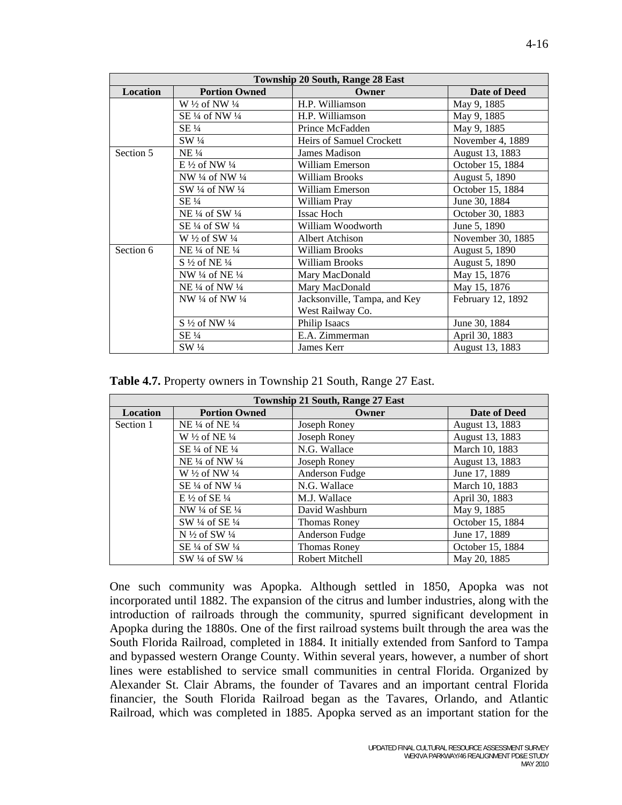| <b>Township 20 South, Range 28 East</b> |                                      |                              |                   |  |
|-----------------------------------------|--------------------------------------|------------------------------|-------------------|--|
| <b>Location</b>                         | <b>Portion Owned</b>                 | Owner                        | Date of Deed      |  |
|                                         | W $\frac{1}{2}$ of NW $\frac{1}{4}$  | H.P. Williamson              | May 9, 1885       |  |
|                                         | SE 1/4 of NW 1/4                     | H.P. Williamson              | May 9, 1885       |  |
|                                         | $SE\frac{1}{4}$                      | Prince McFadden              | May 9, 1885       |  |
|                                         | SW 1/4                               | Heirs of Samuel Crockett     | November 4, 1889  |  |
| Section 5                               | $NE\frac{1}{4}$                      | James Madison                | August 13, 1883   |  |
|                                         | E $\frac{1}{2}$ of NW $\frac{1}{4}$  | William Emerson              | October 15, 1884  |  |
|                                         | NW 1/4 of NW 1/4                     | <b>William Brooks</b>        | August 5, 1890    |  |
|                                         | SW 1/4 of NW 1/4                     | William Emerson              | October 15, 1884  |  |
|                                         | $SE\frac{1}{4}$                      | William Pray                 | June 30, 1884     |  |
|                                         | NE 1/4 of SW 1/4                     | <b>Issac Hoch</b>            | October 30, 1883  |  |
|                                         | SE $\frac{1}{4}$ of SW $\frac{1}{4}$ | William Woodworth            | June 5, 1890      |  |
|                                         | W 1/2 of SW 1/4                      | <b>Albert Atchison</b>       | November 30, 1885 |  |
| Section 6                               | NE $\frac{1}{4}$ of NE $\frac{1}{4}$ | <b>William Brooks</b>        | August 5, 1890    |  |
|                                         | $S\frac{1}{2}$ of NE $\frac{1}{4}$   | <b>William Brooks</b>        | August 5, 1890    |  |
|                                         | NW 1/4 of NE 1/4                     | Mary MacDonald               | May 15, 1876      |  |
|                                         | NE 1/4 of NW 1/4                     | Mary MacDonald               | May 15, 1876      |  |
|                                         | NW $\frac{1}{4}$ of NW $\frac{1}{4}$ | Jacksonville, Tampa, and Key | February 12, 1892 |  |
|                                         |                                      | West Railway Co.             |                   |  |
|                                         | $S\frac{1}{2}$ of NW $\frac{1}{4}$   | Philip Isaacs                | June 30, 1884     |  |
|                                         | SE 1/4                               | E.A. Zimmerman               | April 30, 1883    |  |
|                                         | SW 1/4                               | James Kerr                   | August 13, 1883   |  |

| Township 21 South, Range 27 East |                                      |                     |                  |  |
|----------------------------------|--------------------------------------|---------------------|------------------|--|
| <b>Location</b>                  | <b>Portion Owned</b>                 | Owner               | Date of Deed     |  |
| Section 1                        | NE $\frac{1}{4}$ of NE $\frac{1}{4}$ | Joseph Roney        | August 13, 1883  |  |
|                                  | W $\frac{1}{2}$ of NE $\frac{1}{4}$  | Joseph Roney        | August 13, 1883  |  |
|                                  | SE $\frac{1}{4}$ of NE $\frac{1}{4}$ | N.G. Wallace        | March 10, 1883   |  |
|                                  | NE $\frac{1}{4}$ of NW $\frac{1}{4}$ | Joseph Roney        | August 13, 1883  |  |
|                                  | W $\frac{1}{2}$ of NW $\frac{1}{4}$  | Anderson Fudge      | June 17, 1889    |  |
|                                  | SE $\frac{1}{4}$ of NW $\frac{1}{4}$ | N.G. Wallace        | March 10, 1883   |  |
|                                  | $E\frac{1}{2}$ of SE $\frac{1}{4}$   | M.J. Wallace        | April 30, 1883   |  |
|                                  | NW $\frac{1}{4}$ of SE $\frac{1}{4}$ | David Washburn      | May 9, 1885      |  |
|                                  | SW $\frac{1}{4}$ of SE $\frac{1}{4}$ | <b>Thomas Roney</b> | October 15, 1884 |  |
|                                  | N $\frac{1}{2}$ of SW $\frac{1}{4}$  | Anderson Fudge      | June 17, 1889    |  |
|                                  | SE $\frac{1}{4}$ of SW $\frac{1}{4}$ | <b>Thomas Roney</b> | October 15, 1884 |  |
|                                  | SW 1/4 of SW 1/4                     | Robert Mitchell     | May 20, 1885     |  |

One such community was Apopka. Although settled in 1850, Apopka was not incorporated until 1882. The expansion of the citrus and lumber industries, along with the introduction of railroads through the community, spurred significant development in Apopka during the 1880s. One of the first railroad systems built through the area was the South Florida Railroad, completed in 1884. It initially extended from Sanford to Tampa and bypassed western Orange County. Within several years, however, a number of short lines were established to service small communities in central Florida. Organized by Alexander St. Clair Abrams, the founder of Tavares and an important central Florida financier, the South Florida Railroad began as the Tavares, Orlando, and Atlantic Railroad, which was completed in 1885. Apopka served as an important station for the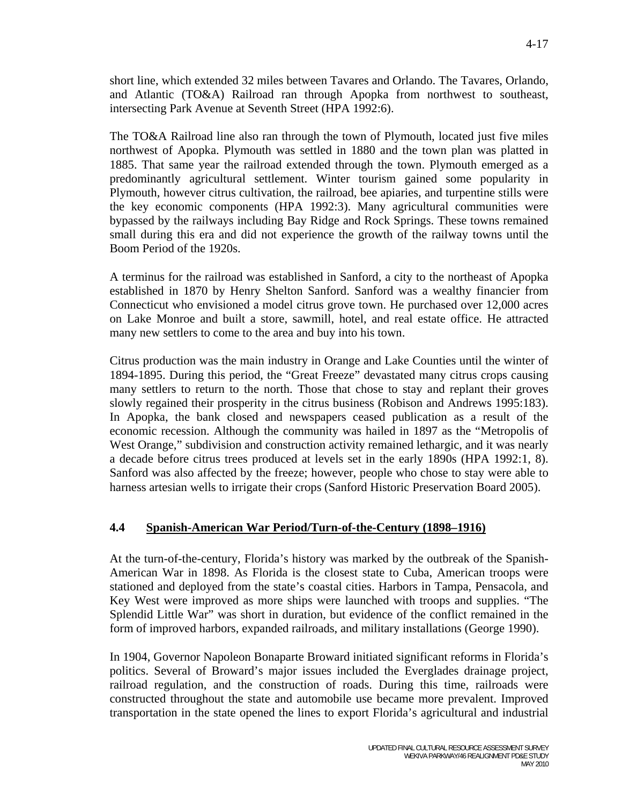short line, which extended 32 miles between Tavares and Orlando. The Tavares, Orlando, and Atlantic (TO&A) Railroad ran through Apopka from northwest to southeast, intersecting Park Avenue at Seventh Street (HPA 1992:6).

The TO&A Railroad line also ran through the town of Plymouth, located just five miles northwest of Apopka. Plymouth was settled in 1880 and the town plan was platted in 1885. That same year the railroad extended through the town. Plymouth emerged as a predominantly agricultural settlement. Winter tourism gained some popularity in Plymouth, however citrus cultivation, the railroad, bee apiaries, and turpentine stills were the key economic components (HPA 1992:3). Many agricultural communities were bypassed by the railways including Bay Ridge and Rock Springs. These towns remained small during this era and did not experience the growth of the railway towns until the Boom Period of the 1920s.

A terminus for the railroad was established in Sanford, a city to the northeast of Apopka established in 1870 by Henry Shelton Sanford. Sanford was a wealthy financier from Connecticut who envisioned a model citrus grove town. He purchased over 12,000 acres on Lake Monroe and built a store, sawmill, hotel, and real estate office. He attracted many new settlers to come to the area and buy into his town.

Citrus production was the main industry in Orange and Lake Counties until the winter of 1894-1895. During this period, the "Great Freeze" devastated many citrus crops causing many settlers to return to the north. Those that chose to stay and replant their groves slowly regained their prosperity in the citrus business (Robison and Andrews 1995:183). In Apopka, the bank closed and newspapers ceased publication as a result of the economic recession. Although the community was hailed in 1897 as the "Metropolis of West Orange," subdivision and construction activity remained lethargic, and it was nearly a decade before citrus trees produced at levels set in the early 1890s (HPA 1992:1, 8). Sanford was also affected by the freeze; however, people who chose to stay were able to harness artesian wells to irrigate their crops (Sanford Historic Preservation Board 2005).

#### **4.4 Spanish-American War Period/Turn-of-the-Century (1898–1916)**

At the turn-of-the-century, Florida's history was marked by the outbreak of the Spanish-American War in 1898. As Florida is the closest state to Cuba, American troops were stationed and deployed from the state's coastal cities. Harbors in Tampa, Pensacola, and Key West were improved as more ships were launched with troops and supplies. "The Splendid Little War" was short in duration, but evidence of the conflict remained in the form of improved harbors, expanded railroads, and military installations (George 1990).

In 1904, Governor Napoleon Bonaparte Broward initiated significant reforms in Florida's politics. Several of Broward's major issues included the Everglades drainage project, railroad regulation, and the construction of roads. During this time, railroads were constructed throughout the state and automobile use became more prevalent. Improved transportation in the state opened the lines to export Florida's agricultural and industrial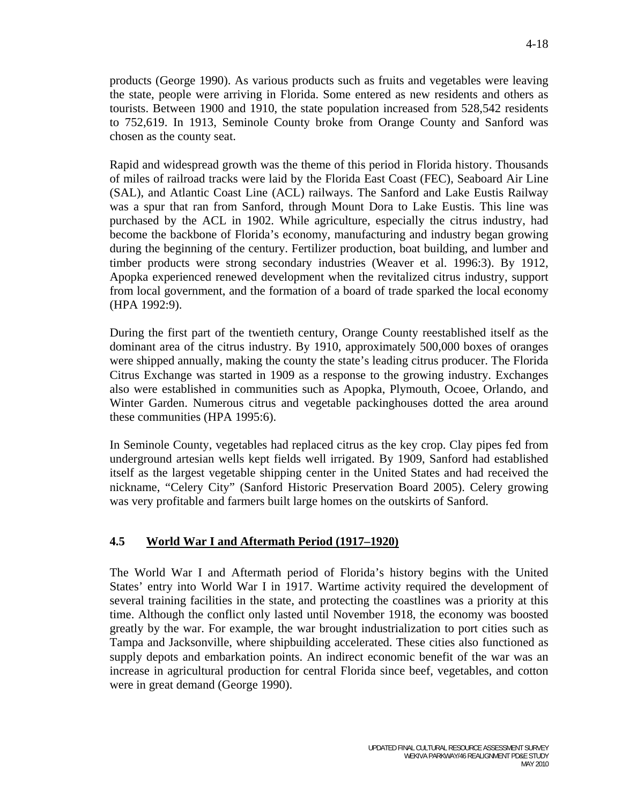products (George 1990). As various products such as fruits and vegetables were leaving the state, people were arriving in Florida. Some entered as new residents and others as tourists. Between 1900 and 1910, the state population increased from 528,542 residents to 752,619. In 1913, Seminole County broke from Orange County and Sanford was chosen as the county seat.

Rapid and widespread growth was the theme of this period in Florida history. Thousands of miles of railroad tracks were laid by the Florida East Coast (FEC), Seaboard Air Line (SAL), and Atlantic Coast Line (ACL) railways. The Sanford and Lake Eustis Railway was a spur that ran from Sanford, through Mount Dora to Lake Eustis. This line was purchased by the ACL in 1902. While agriculture, especially the citrus industry, had become the backbone of Florida's economy, manufacturing and industry began growing during the beginning of the century. Fertilizer production, boat building, and lumber and timber products were strong secondary industries (Weaver et al. 1996:3). By 1912, Apopka experienced renewed development when the revitalized citrus industry, support from local government, and the formation of a board of trade sparked the local economy (HPA 1992:9).

During the first part of the twentieth century, Orange County reestablished itself as the dominant area of the citrus industry. By 1910, approximately 500,000 boxes of oranges were shipped annually, making the county the state's leading citrus producer. The Florida Citrus Exchange was started in 1909 as a response to the growing industry. Exchanges also were established in communities such as Apopka, Plymouth, Ocoee, Orlando, and Winter Garden. Numerous citrus and vegetable packinghouses dotted the area around these communities (HPA 1995:6).

In Seminole County, vegetables had replaced citrus as the key crop. Clay pipes fed from underground artesian wells kept fields well irrigated. By 1909, Sanford had established itself as the largest vegetable shipping center in the United States and had received the nickname, "Celery City" (Sanford Historic Preservation Board 2005). Celery growing was very profitable and farmers built large homes on the outskirts of Sanford.

# **4.5 World War I and Aftermath Period (1917–1920)**

The World War I and Aftermath period of Florida's history begins with the United States' entry into World War I in 1917. Wartime activity required the development of several training facilities in the state, and protecting the coastlines was a priority at this time. Although the conflict only lasted until November 1918, the economy was boosted greatly by the war. For example, the war brought industrialization to port cities such as Tampa and Jacksonville, where shipbuilding accelerated. These cities also functioned as supply depots and embarkation points. An indirect economic benefit of the war was an increase in agricultural production for central Florida since beef, vegetables, and cotton were in great demand (George 1990).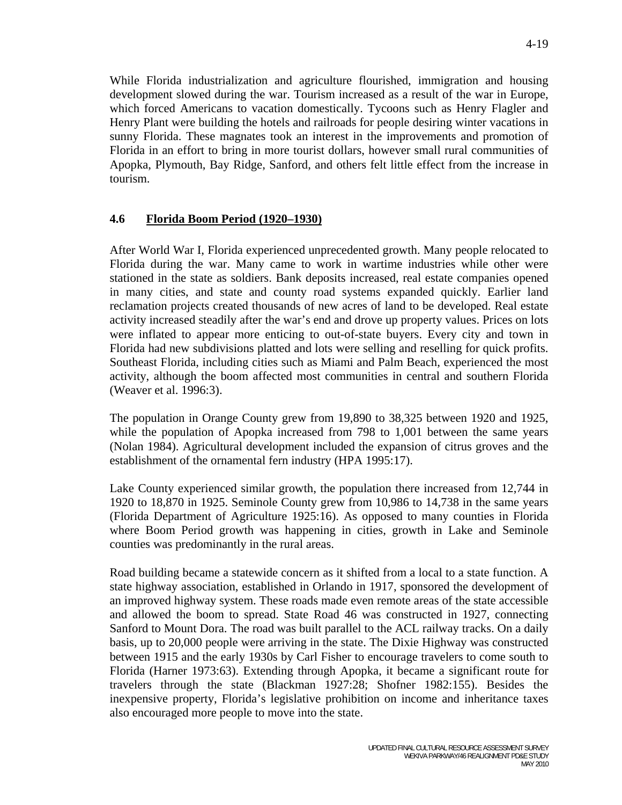While Florida industrialization and agriculture flourished, immigration and housing development slowed during the war. Tourism increased as a result of the war in Europe, which forced Americans to vacation domestically. Tycoons such as Henry Flagler and Henry Plant were building the hotels and railroads for people desiring winter vacations in sunny Florida. These magnates took an interest in the improvements and promotion of Florida in an effort to bring in more tourist dollars, however small rural communities of Apopka, Plymouth, Bay Ridge, Sanford, and others felt little effect from the increase in tourism.

#### **4.6 Florida Boom Period (1920–1930)**

After World War I, Florida experienced unprecedented growth. Many people relocated to Florida during the war. Many came to work in wartime industries while other were stationed in the state as soldiers. Bank deposits increased, real estate companies opened in many cities, and state and county road systems expanded quickly. Earlier land reclamation projects created thousands of new acres of land to be developed. Real estate activity increased steadily after the war's end and drove up property values. Prices on lots were inflated to appear more enticing to out-of-state buyers. Every city and town in Florida had new subdivisions platted and lots were selling and reselling for quick profits. Southeast Florida, including cities such as Miami and Palm Beach, experienced the most activity, although the boom affected most communities in central and southern Florida (Weaver et al. 1996:3).

The population in Orange County grew from 19,890 to 38,325 between 1920 and 1925, while the population of Apopka increased from 798 to 1,001 between the same years (Nolan 1984). Agricultural development included the expansion of citrus groves and the establishment of the ornamental fern industry (HPA 1995:17).

Lake County experienced similar growth, the population there increased from 12,744 in 1920 to 18,870 in 1925. Seminole County grew from 10,986 to 14,738 in the same years (Florida Department of Agriculture 1925:16). As opposed to many counties in Florida where Boom Period growth was happening in cities, growth in Lake and Seminole counties was predominantly in the rural areas.

Road building became a statewide concern as it shifted from a local to a state function. A state highway association, established in Orlando in 1917, sponsored the development of an improved highway system. These roads made even remote areas of the state accessible and allowed the boom to spread. State Road 46 was constructed in 1927, connecting Sanford to Mount Dora. The road was built parallel to the ACL railway tracks. On a daily basis, up to 20,000 people were arriving in the state. The Dixie Highway was constructed between 1915 and the early 1930s by Carl Fisher to encourage travelers to come south to Florida (Harner 1973:63). Extending through Apopka, it became a significant route for travelers through the state (Blackman 1927:28; Shofner 1982:155). Besides the inexpensive property, Florida's legislative prohibition on income and inheritance taxes also encouraged more people to move into the state.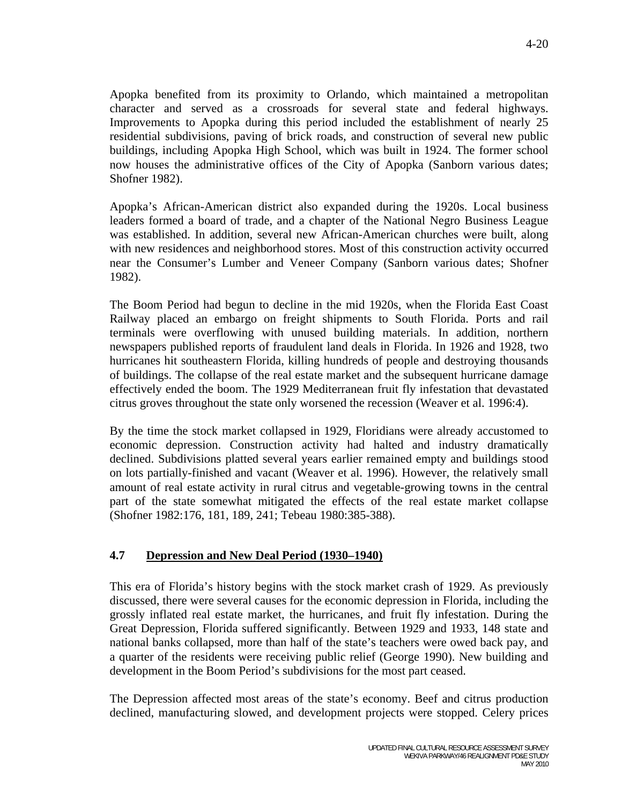Apopka benefited from its proximity to Orlando, which maintained a metropolitan character and served as a crossroads for several state and federal highways. Improvements to Apopka during this period included the establishment of nearly 25 residential subdivisions, paving of brick roads, and construction of several new public buildings, including Apopka High School, which was built in 1924. The former school now houses the administrative offices of the City of Apopka (Sanborn various dates; Shofner 1982).

Apopka's African-American district also expanded during the 1920s. Local business leaders formed a board of trade, and a chapter of the National Negro Business League was established. In addition, several new African-American churches were built, along with new residences and neighborhood stores. Most of this construction activity occurred near the Consumer's Lumber and Veneer Company (Sanborn various dates; Shofner 1982).

The Boom Period had begun to decline in the mid 1920s, when the Florida East Coast Railway placed an embargo on freight shipments to South Florida. Ports and rail terminals were overflowing with unused building materials. In addition, northern newspapers published reports of fraudulent land deals in Florida. In 1926 and 1928, two hurricanes hit southeastern Florida, killing hundreds of people and destroying thousands of buildings. The collapse of the real estate market and the subsequent hurricane damage effectively ended the boom. The 1929 Mediterranean fruit fly infestation that devastated citrus groves throughout the state only worsened the recession (Weaver et al. 1996:4).

By the time the stock market collapsed in 1929, Floridians were already accustomed to economic depression. Construction activity had halted and industry dramatically declined. Subdivisions platted several years earlier remained empty and buildings stood on lots partially-finished and vacant (Weaver et al. 1996). However, the relatively small amount of real estate activity in rural citrus and vegetable-growing towns in the central part of the state somewhat mitigated the effects of the real estate market collapse (Shofner 1982:176, 181, 189, 241; Tebeau 1980:385-388).

# **4.7 Depression and New Deal Period (1930–1940)**

This era of Florida's history begins with the stock market crash of 1929. As previously discussed, there were several causes for the economic depression in Florida, including the grossly inflated real estate market, the hurricanes, and fruit fly infestation. During the Great Depression, Florida suffered significantly. Between 1929 and 1933, 148 state and national banks collapsed, more than half of the state's teachers were owed back pay, and a quarter of the residents were receiving public relief (George 1990). New building and development in the Boom Period's subdivisions for the most part ceased.

The Depression affected most areas of the state's economy. Beef and citrus production declined, manufacturing slowed, and development projects were stopped. Celery prices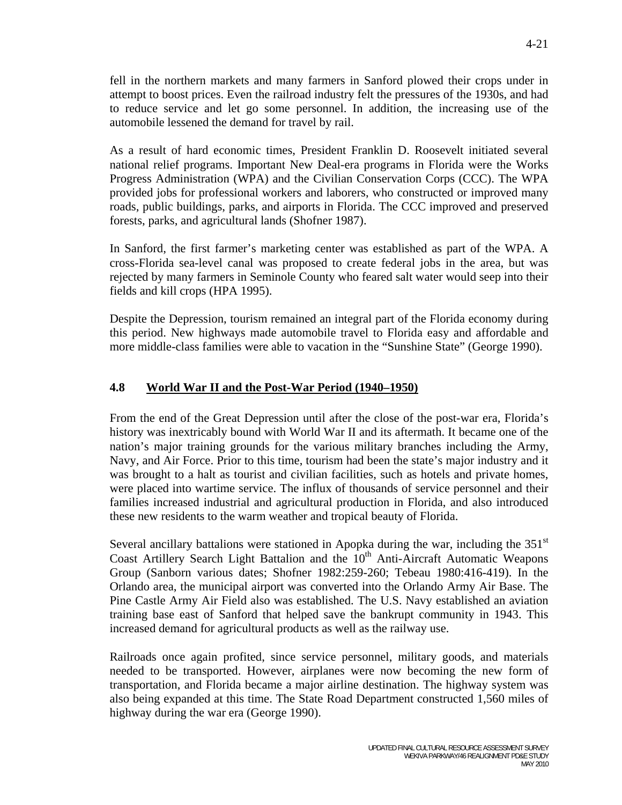fell in the northern markets and many farmers in Sanford plowed their crops under in attempt to boost prices. Even the railroad industry felt the pressures of the 1930s, and had to reduce service and let go some personnel. In addition, the increasing use of the automobile lessened the demand for travel by rail.

As a result of hard economic times, President Franklin D. Roosevelt initiated several national relief programs. Important New Deal-era programs in Florida were the Works Progress Administration (WPA) and the Civilian Conservation Corps (CCC). The WPA provided jobs for professional workers and laborers, who constructed or improved many roads, public buildings, parks, and airports in Florida. The CCC improved and preserved forests, parks, and agricultural lands (Shofner 1987).

In Sanford, the first farmer's marketing center was established as part of the WPA. A cross-Florida sea-level canal was proposed to create federal jobs in the area, but was rejected by many farmers in Seminole County who feared salt water would seep into their fields and kill crops (HPA 1995).

Despite the Depression, tourism remained an integral part of the Florida economy during this period. New highways made automobile travel to Florida easy and affordable and more middle-class families were able to vacation in the "Sunshine State" (George 1990).

# **4.8 World War II and the Post-War Period (1940–1950)**

From the end of the Great Depression until after the close of the post-war era, Florida's history was inextricably bound with World War II and its aftermath. It became one of the nation's major training grounds for the various military branches including the Army, Navy, and Air Force. Prior to this time, tourism had been the state's major industry and it was brought to a halt as tourist and civilian facilities, such as hotels and private homes, were placed into wartime service. The influx of thousands of service personnel and their families increased industrial and agricultural production in Florida, and also introduced these new residents to the warm weather and tropical beauty of Florida.

Several ancillary battalions were stationed in Apopka during the war, including the  $351<sup>st</sup>$ Coast Artillery Search Light Battalion and the 10<sup>th</sup> Anti-Aircraft Automatic Weapons Group (Sanborn various dates; Shofner 1982:259-260; Tebeau 1980:416-419). In the Orlando area, the municipal airport was converted into the Orlando Army Air Base. The Pine Castle Army Air Field also was established. The U.S. Navy established an aviation training base east of Sanford that helped save the bankrupt community in 1943. This increased demand for agricultural products as well as the railway use.

Railroads once again profited, since service personnel, military goods, and materials needed to be transported. However, airplanes were now becoming the new form of transportation, and Florida became a major airline destination. The highway system was also being expanded at this time. The State Road Department constructed 1,560 miles of highway during the war era (George 1990).